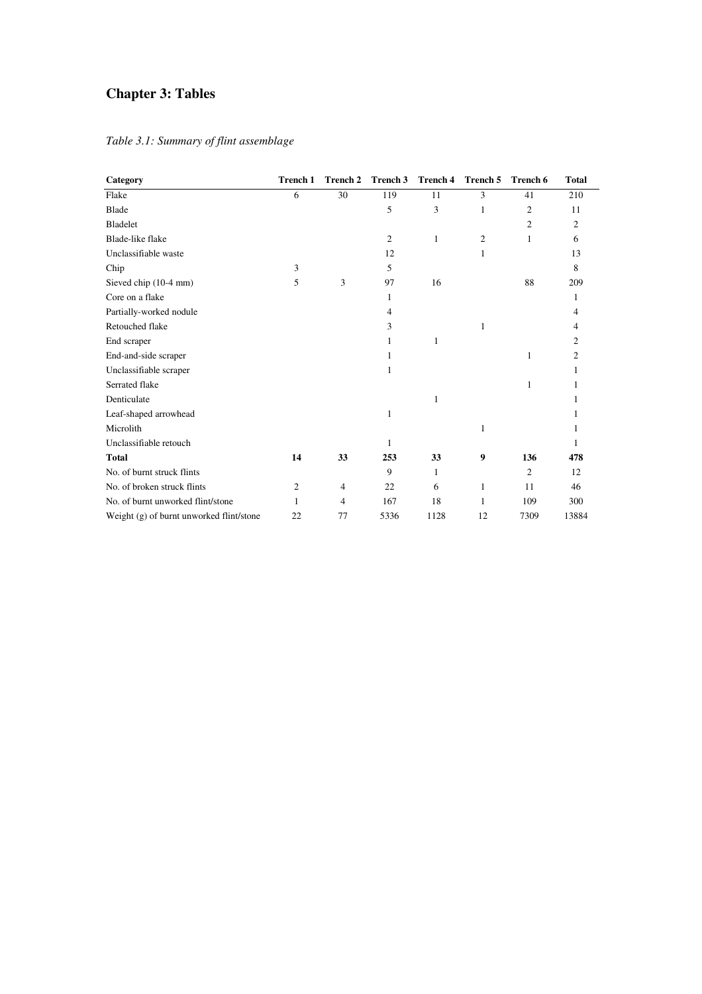# **Chapter 3: Tables**

| Category                                 | <b>Trench 1</b> | <b>Trench 2</b> | Trench 3       | <b>Trench 4</b> | Trench 5 | Trench 6       | <b>Total</b>   |
|------------------------------------------|-----------------|-----------------|----------------|-----------------|----------|----------------|----------------|
| Flake                                    | 6               | 30              | 119            | 11              | 3        | 41             | 210            |
| Blade                                    |                 |                 | 5              | 3               | 1        | $\overline{c}$ | 11             |
| <b>Bladelet</b>                          |                 |                 |                |                 |          | $\overline{c}$ | $\overline{c}$ |
| Blade-like flake                         |                 |                 | $\overline{2}$ | 1               | 2        | 1              | 6              |
| Unclassifiable waste                     |                 |                 | 12             |                 | 1        |                | 13             |
| Chip                                     | 3               |                 | 5              |                 |          |                | 8              |
| Sieved chip (10-4 mm)                    | 5               | 3               | 97             | 16              |          | 88             | 209            |
| Core on a flake                          |                 |                 | 1              |                 |          |                | 1              |
| Partially-worked nodule                  |                 |                 | 4              |                 |          |                | 4              |
| Retouched flake                          |                 |                 | 3              |                 | 1        |                | 4              |
| End scraper                              |                 |                 | 1              | 1               |          |                | 2              |
| End-and-side scraper                     |                 |                 | 1              |                 |          | 1              | $\overline{c}$ |
| Unclassifiable scraper                   |                 |                 | 1              |                 |          |                | 1              |
| Serrated flake                           |                 |                 |                |                 |          | 1              | 1              |
| Denticulate                              |                 |                 |                | 1               |          |                |                |
| Leaf-shaped arrowhead                    |                 |                 | 1              |                 |          |                |                |
| Microlith                                |                 |                 |                |                 | 1        |                |                |
| Unclassifiable retouch                   |                 |                 | 1              |                 |          |                | 1              |
| <b>Total</b>                             | 14              | 33              | 253            | 33              | 9        | 136            | 478            |
| No. of burnt struck flints               |                 |                 | 9              | 1               |          | $\overline{c}$ | 12             |
| No. of broken struck flints              | 2               | $\overline{4}$  | 22             | 6               | 1        | 11             | 46             |
| No. of burnt unworked flint/stone        | 1               | 4               | 167            | 18              | 1        | 109            | 300            |
| Weight (g) of burnt unworked flint/stone | 22              | 77              | 5336           | 1128            | 12       | 7309           | 13884          |

#### *Table 3.1: Summary of flint assemblage*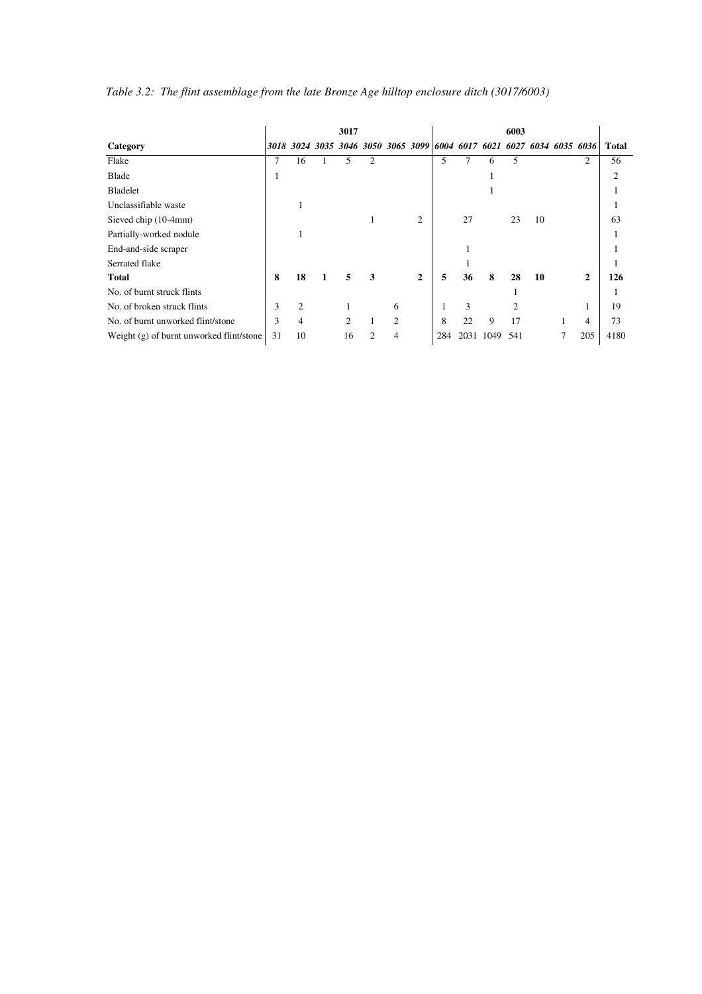|                                          |      |                |                                    | 3017 |                |                |              |     |           |      | 6003 |      |                |              |
|------------------------------------------|------|----------------|------------------------------------|------|----------------|----------------|--------------|-----|-----------|------|------|------|----------------|--------------|
| Category                                 | 3018 |                | 3024 3035 3046 3050 3065 3099 6004 |      |                |                |              |     | 6017 6021 |      | 6027 | 6034 | 6035 6036      | <b>Total</b> |
| Flake                                    | 7    | 16             |                                    | 5    | $\overline{c}$ |                |              | 5   | 7         | 6    | 5    |      | $\overline{c}$ | 56           |
| Blade                                    | ш    |                |                                    |      |                |                |              |     |           |      |      |      |                | 2            |
| <b>Bladelet</b>                          |      |                |                                    |      |                |                |              |     |           |      |      |      |                |              |
| Unclassifiable waste                     |      |                |                                    |      |                |                |              |     |           |      |      |      |                |              |
| Sieved chip (10-4mm)                     |      |                |                                    |      |                |                | 2            |     | 27        |      | 23   | 10   |                | 63           |
| Partially-worked nodule                  |      |                |                                    |      |                |                |              |     |           |      |      |      |                |              |
| End-and-side scraper                     |      |                |                                    |      |                |                |              |     |           |      |      |      |                |              |
| Serrated flake                           |      |                |                                    |      |                |                |              |     |           |      |      |      |                |              |
| <b>Total</b>                             | 8    | 18             |                                    | 5    | 3              |                | $\mathbf{2}$ | 5   | 36        | 8    | 28   | 10   | $\mathbf{2}$   | 126          |
| No. of burnt struck flints               |      |                |                                    |      |                |                |              |     |           |      |      |      |                |              |
| No. of broken struck flints              | 3    | $\overline{c}$ |                                    |      |                | 6              |              | -1  | 3         |      | 2    |      |                | 19           |
| No. of burnt unworked flint/stone        | 3    | 4              |                                    | 2    |                | $\overline{c}$ |              | 8   | 22        | 9    | 17   |      | 4              | 73           |
| Weight (g) of burnt unworked flint/stone | 31   | 10             |                                    | 16   | 2              | 4              |              | 284 | 2031      | 1049 | 541  |      | 205            | 4180         |

### *Table 3.2: The flint assemblage from the late Bronze Age hilltop enclosure ditch (3017/6003)*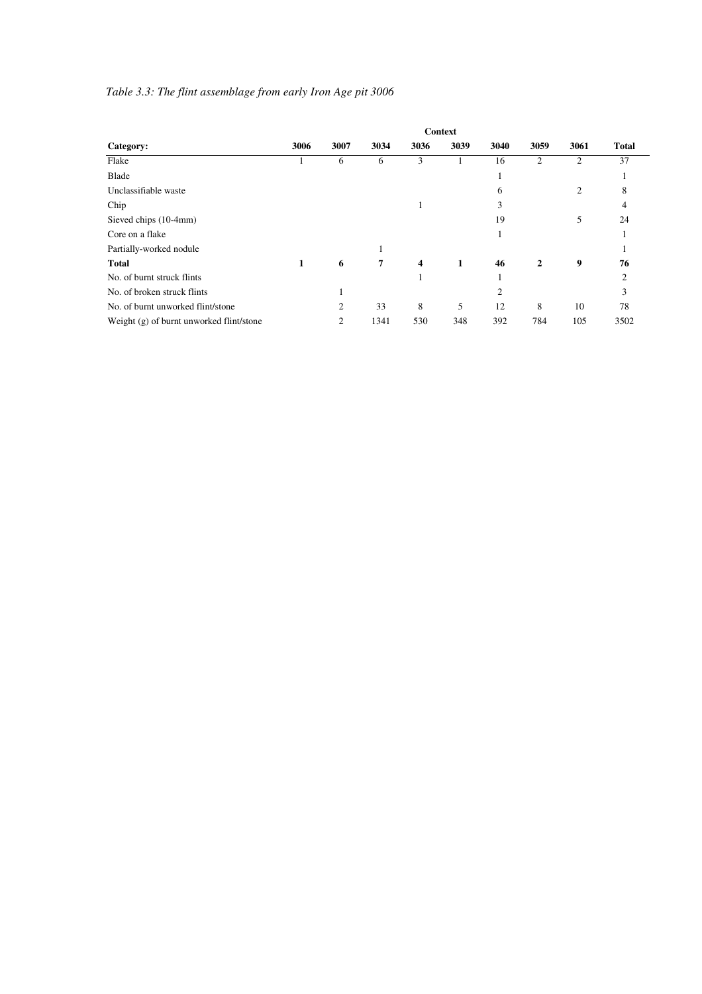|                                          |      |                |                |      | <b>Context</b> |      |      |      |                |
|------------------------------------------|------|----------------|----------------|------|----------------|------|------|------|----------------|
| Category:                                | 3006 | 3007           | 3034           | 3036 | 3039           | 3040 | 3059 | 3061 | <b>Total</b>   |
| Flake                                    |      | 6              | 6              | 3    |                | 16   | 2    | 2    | 37             |
| Blade                                    |      |                |                |      |                |      |      |      |                |
| Unclassifiable waste                     |      |                |                |      |                | 6    |      | 2    | 8              |
| Chip                                     |      |                |                |      |                | 3    |      |      | 4              |
| Sieved chips (10-4mm)                    |      |                |                |      |                | 19   |      | 5    | 24             |
| Core on a flake                          |      |                |                |      |                |      |      |      |                |
| Partially-worked nodule                  |      |                |                |      |                |      |      |      |                |
| <b>Total</b>                             | 1    | 6              | $\overline{7}$ | 4    | 1              | 46   | 2    | 9    | 76             |
| No. of burnt struck flints               |      |                |                |      |                |      |      |      | $\mathfrak{D}$ |
| No. of broken struck flints              |      | л.             |                |      |                | 2    |      |      | 3              |
| No. of burnt unworked flint/stone        |      | 2              | 33             | 8    | 5              | 12   | 8    | 10   | 78             |
| Weight (g) of burnt unworked flint/stone |      | $\mathfrak{2}$ | 1341           | 530  | 348            | 392  | 784  | 105  | 3502           |

### *Table 3.3: The flint assemblage from early Iron Age pit 3006*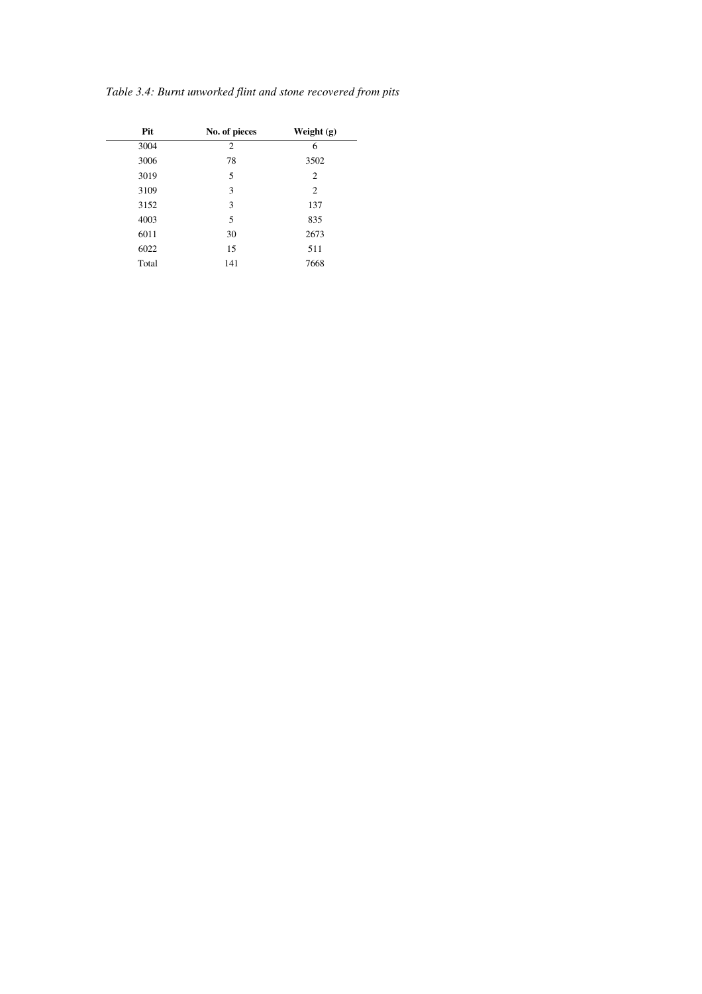| Pit   | No. of pieces | Weight $(g)$   |
|-------|---------------|----------------|
| 3004  | 2             | 6              |
| 3006  | 78            | 3502           |
| 3019  | 5             | $\overline{2}$ |
| 3109  | 3             | 2              |
| 3152  | 3             | 137            |
| 4003  | 5             | 835            |
| 6011  | 30            | 2673           |
| 6022  | 15            | 511            |
| Total | 141           | 7668           |

*Table 3.4: Burnt unworked flint and stone recovered from pits*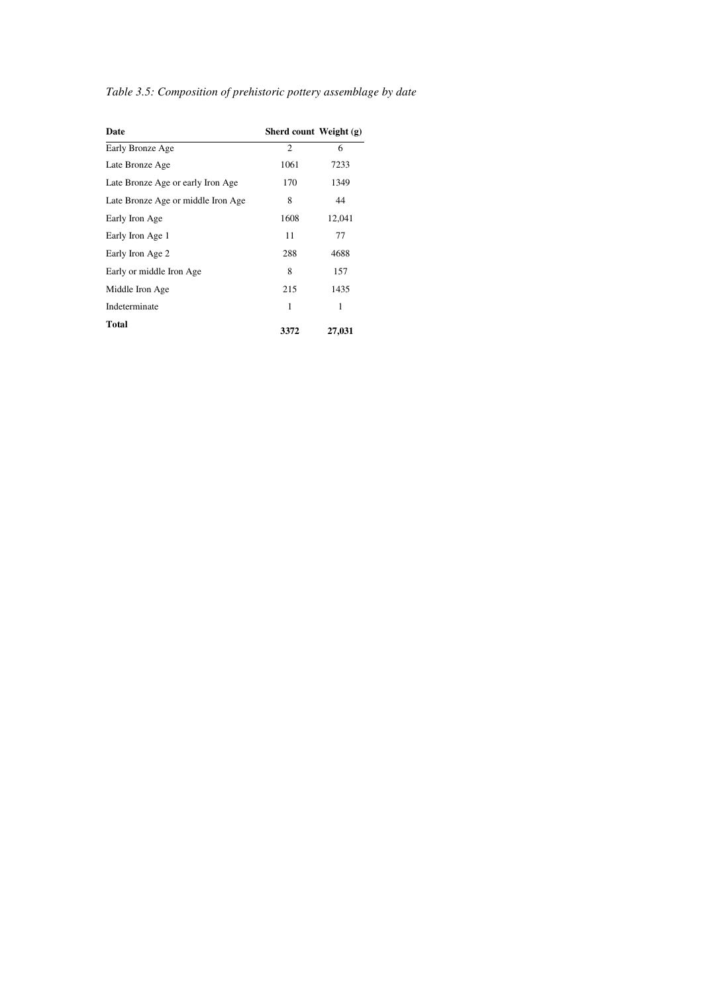| Table 3.5: Composition of prehistoric pottery assemblage by date |  |
|------------------------------------------------------------------|--|
|                                                                  |  |

| Date                               | Sherd count Weight (g) |        |
|------------------------------------|------------------------|--------|
| Early Bronze Age                   | 2                      | 6      |
| Late Bronze Age                    | 1061                   | 7233   |
| Late Bronze Age or early Iron Age  | 170                    | 1349   |
| Late Bronze Age or middle Iron Age | 8                      | 44     |
| Early Iron Age                     | 1608                   | 12,041 |
| Early Iron Age 1                   | 11                     | 77     |
| Early Iron Age 2                   | 288                    | 4688   |
| Early or middle Iron Age           | 8                      | 157    |
| Middle Iron Age                    | 215                    | 1435   |
| Indeterminate                      | 1                      | 1      |
| Total                              | 3372                   | 27,031 |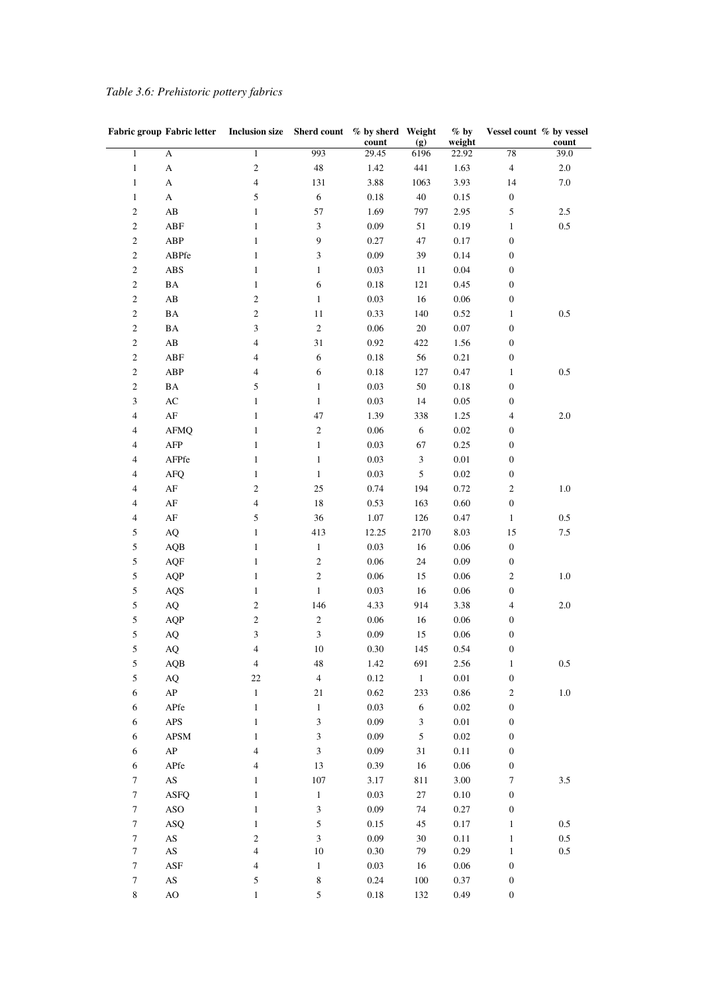### *Table 3.6: Prehistoric pottery fabrics*

|                          | Fabric group Fabric letter  | <b>Inclusion size</b>       | Sherd count % by sherd Weight | count    | (g)                         | $%$ by<br>weight | Vessel count % by vessel | count   |
|--------------------------|-----------------------------|-----------------------------|-------------------------------|----------|-----------------------------|------------------|--------------------------|---------|
| $\,1$                    | $\boldsymbol{\rm{A}}$       | $\,1\,$                     | 993                           | 29.45    | 6196                        | 22.92            | $78\,$                   | 39.0    |
| $\,1$                    | $\boldsymbol{\mathsf{A}}$   | $\overline{c}$              | $\sqrt{48}$                   | $1.42\,$ | 441                         | 1.63             | $\sqrt{4}$               | $2.0\,$ |
| $\,1$                    | $\boldsymbol{\mathsf{A}}$   | $\overline{4}$              | 131                           | 3.88     | 1063                        | 3.93             | 14                       | $7.0\,$ |
| $\mathbf{1}$             | $\mathbf{A}$                | 5                           | $\sqrt{6}$                    | 0.18     | $40\,$                      | 0.15             | $\boldsymbol{0}$         |         |
| $\sqrt{2}$               | $\mathbf{A}\mathbf{B}$      | $\mathbf{1}$                | 57                            | 1.69     | 797                         | 2.95             | $\mathfrak s$            | $2.5\,$ |
| $\sqrt{2}$               | ABF                         | $\mathbf{1}$                | $\ensuremath{\mathfrak{Z}}$   | $0.09\,$ | 51                          | 0.19             | $\mathbf{1}$             | $0.5\,$ |
| $\sqrt{2}$               | ABP                         | $\mathbf{1}$                | 9                             | 0.27     | 47                          | 0.17             | $\boldsymbol{0}$         |         |
| $\sqrt{2}$               | ${\sf ABPfe}$               | $\mathbf{1}$                | 3                             | 0.09     | 39                          | 0.14             | $\boldsymbol{0}$         |         |
| $\sqrt{2}$               | ABS                         | $\mathbf{1}$                | $\mathbf{1}$                  | $0.03\,$ | 11                          | 0.04             | $\boldsymbol{0}$         |         |
| $\sqrt{2}$               | $\mathbf{BA}$               | $\mathbf{1}$                | $\sqrt{6}$                    | $0.18\,$ | 121                         | 0.45             | $\boldsymbol{0}$         |         |
| $\sqrt{2}$               | $\mathbf{A}\mathbf{B}$      | $\overline{\mathbf{c}}$     | $\,1$                         | $0.03\,$ | $16\,$                      | $0.06\,$         | $\boldsymbol{0}$         |         |
| $\sqrt{2}$               | $\mathbf{BA}$               | $\mathfrak{2}$              | 11                            | 0.33     | 140                         | 0.52             | $\mathbf{1}$             | $0.5\,$ |
| $\sqrt{2}$               | $\mathbf{BA}$               | $\ensuremath{\mathfrak{Z}}$ | $\sqrt{2}$                    | 0.06     | $20\,$                      | $0.07\,$         | $\boldsymbol{0}$         |         |
| $\sqrt{2}$               | $\mathbf{A}\mathbf{B}$      | 4                           | 31                            | 0.92     | 422                         | 1.56             | $\boldsymbol{0}$         |         |
| $\sqrt{2}$               | ${\sf ABF}$                 | $\overline{4}$              | $\sqrt{6}$                    | 0.18     | 56                          | 0.21             | $\boldsymbol{0}$         |         |
| $\sqrt{2}$               | ABP                         | 4                           | $\sqrt{6}$                    | 0.18     | 127                         | 0.47             | $\mathbf{1}$             | $0.5\,$ |
| $\sqrt{2}$               | $\mathbf{BA}$               | 5                           | $\,1$                         | $0.03\,$ | 50                          | $0.18\,$         | $\boldsymbol{0}$         |         |
| $\mathfrak{Z}$           | $\mathbf{A}\mathbf{C}$      | $\mathbf{1}$                | $\mathbf{1}$                  | $0.03\,$ | 14                          | 0.05             | $\boldsymbol{0}$         |         |
| $\overline{4}$           | $\rm AF$                    | $\mathbf{1}$                | 47                            | 1.39     | 338                         | 1.25             | $\overline{4}$           | $2.0\,$ |
| $\overline{4}$           | <b>AFMQ</b>                 | $\mathbf{1}$                | $\sqrt{2}$                    | $0.06\,$ | $\sqrt{6}$                  | 0.02             | $\boldsymbol{0}$         |         |
|                          | ${\sf AFP}$                 | $\mathbf{1}$                |                               | 0.03     | 67                          |                  |                          |         |
| $\overline{4}$           |                             |                             | $\mathbf{1}$                  | $0.03\,$ |                             | 0.25             | $\boldsymbol{0}$         |         |
| $\overline{\mathcal{A}}$ | AFPfe                       | $\mathbf{1}$                | $\mathbf{1}$                  |          | $\ensuremath{\mathfrak{Z}}$ | $0.01\,$         | $\boldsymbol{0}$         |         |
| $\overline{4}$           | <b>AFQ</b>                  | $\mathbf{1}$                | $\mathbf{1}$                  | $0.03\,$ | $\sqrt{5}$                  | $0.02\,$         | $\boldsymbol{0}$         |         |
| $\overline{4}$           | $\rm{AF}$                   | $\sqrt{2}$                  | 25                            | 0.74     | 194                         | 0.72             | $\boldsymbol{2}$         | $1.0\,$ |
| $\overline{4}$           | $\rm AF$                    | 4                           | $18\,$                        | 0.53     | 163                         | 0.60             | $\boldsymbol{0}$         |         |
| $\overline{\mathcal{A}}$ | $\rm AF$                    | 5                           | 36                            | $1.07\,$ | 126                         | 0.47             | $\mathbf{1}$             | 0.5     |
| $\mathfrak s$            | $\rm{AQ}$                   | $\mathbf{1}$                | 413                           | 12.25    | 2170                        | 8.03             | 15                       | $7.5\,$ |
| 5                        | AQB                         | $\mathbf{1}$                | $\,1$                         | 0.03     | 16                          | 0.06             | $\boldsymbol{0}$         |         |
| $\sqrt{5}$               | $\rm AQF$                   | $\mathbf{1}$                | $\sqrt{2}$                    | $0.06\,$ | 24                          | 0.09             | $\boldsymbol{0}$         |         |
| 5                        | AQP                         | $\mathbf{1}$                | $\sqrt{2}$                    | 0.06     | 15                          | 0.06             | $\overline{\mathbf{c}}$  | $1.0\,$ |
| $\mathfrak s$            | AQS                         | $\mathbf{1}$                | $\mathbf{1}$                  | 0.03     | 16                          | 0.06             | $\boldsymbol{0}$         |         |
| 5                        | $\rm{AQ}$                   | $\sqrt{2}$                  | 146                           | 4.33     | 914                         | 3.38             | $\sqrt{4}$               | $2.0\,$ |
| 5                        | <b>AQP</b>                  | $\sqrt{2}$                  | $\sqrt{2}$                    | 0.06     | 16                          | 0.06             | $\boldsymbol{0}$         |         |
| 5                        | $\rm AQ$                    | 3                           | $\mathfrak{Z}$                | $0.09\,$ | 15                          | 0.06             | $\boldsymbol{0}$         |         |
| 5                        | AQ                          | $\overline{4}$              | 10                            | 0.30     | 145                         | 0.54             | $\boldsymbol{0}$         |         |
| $\sqrt{5}$               | AQB                         | $\overline{4}$              | 48                            | 1.42     | 691                         | 2.56             | $\,1$                    | $0.5\,$ |
| $\sqrt{5}$               | $\rm{AQ}$                   | 22                          | $\sqrt{4}$                    | 0.12     | $\,1\,$                     | $0.01\,$         | $\boldsymbol{0}$         |         |
| $\epsilon$               | ${\sf AP}$                  | $\mathbf{1}$                | 21                            | 0.62     | 233                         | 0.86             | $\overline{\mathbf{c}}$  | $1.0\,$ |
| 6                        | $\rm{APfe}$                 | $\mathbf{1}$                | $\mathbf{1}$                  | 0.03     | $\boldsymbol{6}$            | $0.02\,$         | $\boldsymbol{0}$         |         |
| 6                        | ${\sf APS}$                 | $\mathbf{1}$                | 3                             | 0.09     | $\ensuremath{\mathfrak{Z}}$ | $0.01\,$         | $\boldsymbol{0}$         |         |
| 6                        | ${\sf APSM}$                | 1                           | 3                             | $0.09\,$ | $\mathfrak s$               | $0.02\,$         | $\boldsymbol{0}$         |         |
| 6                        | ${\sf AP}$                  | 4                           | 3                             | 0.09     | 31                          | $0.11\,$         | $\boldsymbol{0}$         |         |
| 6                        | $\rm{APfe}$                 | 4                           | 13                            | 0.39     | 16                          | $0.06\,$         | $\boldsymbol{0}$         |         |
| $\boldsymbol{7}$         | $\mathbf{A}\mathbf{S}$      | $\mathbf{1}$                | 107                           | 3.17     | 811                         | $3.00\,$         | 7                        | 3.5     |
| $\boldsymbol{7}$         | ASFQ                        | $\mathbf{1}$                | $\,1$                         | 0.03     | $27\,$                      | $0.10\,$         | $\boldsymbol{0}$         |         |
| $\boldsymbol{7}$         | $\boldsymbol{\mathsf{ASO}}$ | $\mathbf{1}$                | 3                             | 0.09     | 74                          | 0.27             | $\boldsymbol{0}$         |         |
| $\boldsymbol{7}$         | ASQ                         | $\mathbf{1}$                | 5                             | 0.15     | 45                          | 0.17             | $\mathbf{1}$             | 0.5     |
| $\boldsymbol{7}$         | $\mathbf{A}\mathbf{S}$      | $\mathfrak{2}$              | $\ensuremath{\mathfrak{Z}}$   | 0.09     | 30                          | 0.11             | $\mathbf{1}$             | $0.5\,$ |
| $\boldsymbol{7}$         | $\mathbf{A}\mathbf{S}$      | $\overline{\mathcal{L}}$    | 10                            | 0.30     | 79                          | 0.29             | $\mathbf{1}$             | $0.5\,$ |
| $\boldsymbol{7}$         | $\operatorname{ASP}$        | $\overline{\mathcal{A}}$    | $\,1$                         | $0.03\,$ | 16                          | 0.06             | $\boldsymbol{0}$         |         |
| $\boldsymbol{7}$         | $\mathbf{A}\mathbf{S}$      | $\mathfrak s$               | $\,$ 8 $\,$                   | 0.24     | $100\,$                     | 0.37             | $\boldsymbol{0}$         |         |
| $\,8\,$                  | $\rm AO$                    | $\mathbf{1}$                | 5                             | $0.18\,$ | 132                         | 0.49             | $\boldsymbol{0}$         |         |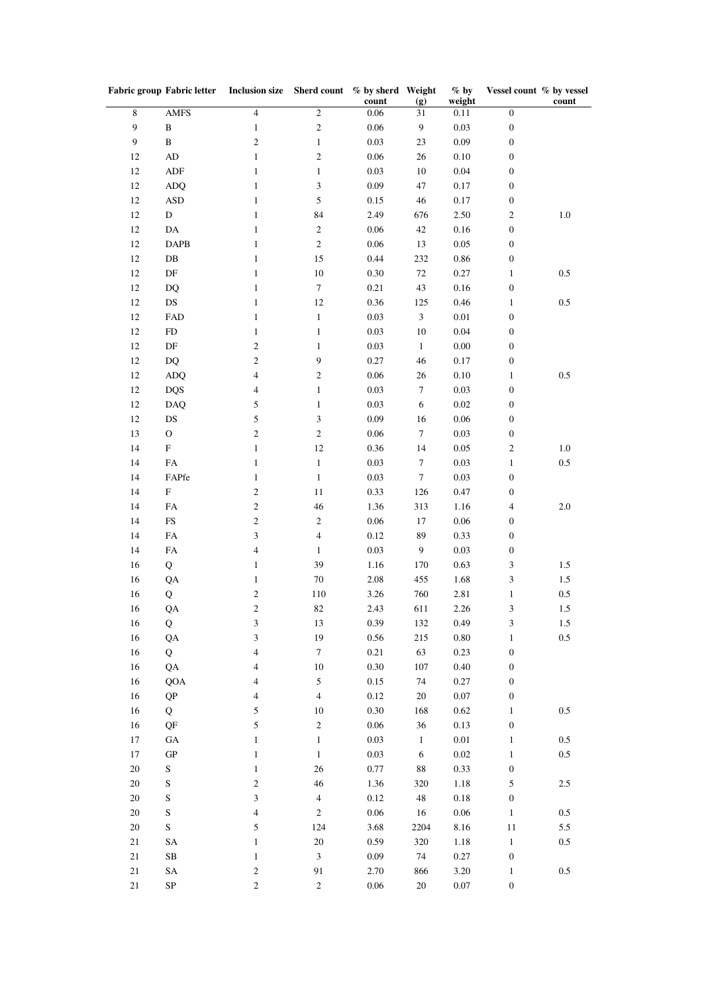|                | <b>Fabric group Fabric letter</b> | <b>Inclusion size</b>       | Sherd count % by sherd Weight | count    |                                   | $%$ by<br>weight | Vessel count % by vessel | count   |
|----------------|-----------------------------------|-----------------------------|-------------------------------|----------|-----------------------------------|------------------|--------------------------|---------|
| $\sqrt{8}$     | <b>AMFS</b>                       | $\overline{4}$              | $\overline{2}$                | 0.06     | $\left( \mathbf{g} \right)$<br>31 | 0.11             | $\boldsymbol{0}$         |         |
| 9              | $\, {\bf B}$                      | $\mathbf{1}$                | $\sqrt{2}$                    | $0.06\,$ | $\boldsymbol{9}$                  | 0.03             | $\boldsymbol{0}$         |         |
| $\overline{9}$ | $\, {\bf B}$                      | $\overline{c}$              | $\,1\,$                       | 0.03     | $23\,$                            | 0.09             | $\boldsymbol{0}$         |         |
| 12             | ${\rm AD}$                        | $\mathbf{1}$                | $\sqrt{2}$                    | $0.06\,$ | 26                                | $0.10\,$         | $\boldsymbol{0}$         |         |
| $12\,$         | ADF                               | $\mathbf{1}$                | $\mathbf{1}$                  | $0.03\,$ | 10                                | 0.04             | $\boldsymbol{0}$         |         |
| $12\,$         | <b>ADQ</b>                        | $\mathbf{1}$                | $\sqrt{3}$                    | $0.09\,$ | 47                                | 0.17             | $\boldsymbol{0}$         |         |
| 12             | $\ensuremath{\mathsf{ASD}}$       | $\mathbf{1}$                | $\sqrt{5}$                    | $0.15\,$ | 46                                | 0.17             | $\boldsymbol{0}$         |         |
| 12             | D                                 | 1                           | 84                            | 2.49     | 676                               | 2.50             | 2                        | $1.0\,$ |
| $12\,$         | DA                                | $\mathbf{1}$                | $\sqrt{2}$                    | $0.06\,$ | $42\,$                            | 0.16             | $\boldsymbol{0}$         |         |
| 12             | $\ensuremath{\mathsf{DAPB}}$      | $\mathbf{1}$                | $\sqrt{2}$                    | $0.06\,$ | 13                                | $0.05\,$         | $\boldsymbol{0}$         |         |
| 12             | ${\rm DB}$                        | $\mathbf{1}$                | 15                            | 0.44     | 232                               | 0.86             | $\boldsymbol{0}$         |         |
| 12             | $\rm DF$                          | $\mathbf{1}$                | $10\,$                        | 0.30     | $72\,$                            | 0.27             | $\mathbf{1}$             | $0.5\,$ |
| 12             | DQ                                | $\mathbf{1}$                | $\boldsymbol{7}$              | 0.21     | 43                                | 0.16             | $\boldsymbol{0}$         |         |
| 12             | $\mathbf{D}\mathbf{S}$            | $\mathbf{1}$                | $12\,$                        |          |                                   |                  | $\mathbf{1}$             | $0.5\,$ |
|                |                                   |                             |                               | 0.36     | 125                               | 0.46             |                          |         |
| 12             | FAD                               | $\mathbf{1}$                | $\,1$                         | $0.03\,$ | $\ensuremath{\mathfrak{Z}}$       | $0.01\,$         | $\boldsymbol{0}$         |         |
| 12             | FD                                | $\mathbf{1}$                | $\mathbf{1}$                  | 0.03     | $10\,$                            | 0.04             | $\boldsymbol{0}$         |         |
| 12             | $\ensuremath{\mathsf{DF}}$        | $\sqrt{2}$                  | $\mathbf{1}$                  | $0.03\,$ | $\mathbf{1}$                      | $0.00\,$         | $\boldsymbol{0}$         |         |
| 12             | DQ                                | $\sqrt{2}$                  | 9                             | 0.27     | $46\,$                            | 0.17             | $\boldsymbol{0}$         |         |
| 12             | <b>ADQ</b>                        | $\overline{4}$              | $\sqrt{2}$                    | $0.06\,$ | 26                                | 0.10             | $\mathbf{1}$             | $0.5\,$ |
| 12             | <b>DQS</b>                        | $\overline{4}$              | $\mathbf{1}$                  | 0.03     | $\boldsymbol{7}$                  | 0.03             | $\boldsymbol{0}$         |         |
| 12             | <b>DAQ</b>                        | $\sqrt{5}$                  | $\mathbf{1}$                  | 0.03     | 6                                 | 0.02             | $\boldsymbol{0}$         |         |
| 12             | $\mathop{\rm DS}\nolimits$        | $\sqrt{5}$                  | $\sqrt{3}$                    | $0.09\,$ | 16                                | 0.06             | $\boldsymbol{0}$         |         |
| 13             | $\mathcal{O}$                     | $\sqrt{2}$                  | $\sqrt{2}$                    | $0.06\,$ | $\boldsymbol{7}$                  | 0.03             | $\boldsymbol{0}$         |         |
| 14             | $\mathbf F$                       | $\mathbf{1}$                | $12\,$                        | 0.36     | 14                                | 0.05             | $\boldsymbol{2}$         | $1.0\,$ |
| 14             | ${\rm FA}$                        | $\mathbf{1}$                | $\mathbf{1}$                  | 0.03     | $\boldsymbol{7}$                  | 0.03             | $\mathbf{1}$             | $0.5\,$ |
| 14             | FAPfe                             | $\mathbf{1}$                | $\mathbf{1}$                  | $0.03\,$ | $\boldsymbol{7}$                  | 0.03             | $\boldsymbol{0}$         |         |
| 14             | $\mathbf F$                       | $\sqrt{2}$                  | $11\,$                        | 0.33     | 126                               | 0.47             | $\boldsymbol{0}$         |         |
| 14             | ${\rm FA}$                        | $\sqrt{2}$                  | 46                            | 1.36     | 313                               | 1.16             | $\overline{4}$           | $2.0\,$ |
| 14             | ${\rm FS}$                        | $\sqrt{2}$                  | $\sqrt{2}$                    | $0.06\,$ | 17                                | 0.06             | $\boldsymbol{0}$         |         |
| 14             | ${\rm FA}$                        | $\sqrt{3}$                  | $\overline{\mathbf{4}}$       | 0.12     | 89                                | 0.33             | $\boldsymbol{0}$         |         |
| 14             | ${\rm FA}$                        | $\overline{4}$              | $\mathbf{1}$                  | 0.03     | $\boldsymbol{9}$                  | 0.03             | $\boldsymbol{0}$         |         |
| 16             | Q                                 | $\mathbf{1}$                | 39                            | 1.16     | 170                               | 0.63             | 3                        | $1.5\,$ |
| 16             | QA                                | $\mathbf{1}$                | $70\,$                        | $2.08\,$ | 455                               | 1.68             | 3                        | $1.5\,$ |
| 16             | Q                                 | $\sqrt{2}$                  | 110                           | 3.26     | 760                               | 2.81             | $\,1$                    | 0.5     |
| 16             | QA                                | $\overline{2}$              | 82                            | 2.43     | 611                               | 2.26             | 3                        | 1.5     |
| 16             | Q                                 | $\ensuremath{\mathfrak{Z}}$ | 13                            | 0.39     | 132                               | 0.49             | $\sqrt{3}$               | $1.5\,$ |
| 16             | QA                                | $\mathfrak{Z}$              | 19                            | $0.56\,$ | 215                               | $0.80\,$         | $\,1$                    | $0.5\,$ |
| 16             | Q                                 | $\overline{4}$              | $\boldsymbol{7}$              | 0.21     | 63                                | 0.23             | $\boldsymbol{0}$         |         |
| 16             | QA                                | $\overline{4}$              | $10\,$                        | $0.30\,$ | 107                               | 0.40             | $\boldsymbol{0}$         |         |
| 16             | QOA                               | 4                           | $\sqrt{5}$                    | $0.15\,$ | $74\,$                            | $0.27\,$         | $\boldsymbol{0}$         |         |
| 16             | QP                                | $\overline{4}$              | $\overline{4}$                | 0.12     | $20\,$                            | $0.07\,$         | $\boldsymbol{0}$         |         |
| 16             | Q                                 | $\sqrt{5}$                  | $10\,$                        | 0.30     | 168                               | 0.62             | $\mathbf{1}$             | $0.5\,$ |
| 16             | QF                                | $\sqrt{5}$                  | $\overline{c}$                | 0.06     | 36                                | 0.13             | $\boldsymbol{0}$         |         |
| 17             | $_{\mathrm{GA}}$                  | $\mathbf{1}$                | $\mathbf{1}$                  | $0.03\,$ | $\mathbf{1}$                      | $0.01\,$         | $\,1$                    | $0.5\,$ |
| 17             | ${\bf G} {\bf P}$                 | $\mathbf{1}$                | $\,1\,$                       | $0.03\,$ | $\sqrt{6}$                        | $0.02\,$         | $\mathbf{1}$             | $0.5\,$ |
| 20             | $\mathbf S$                       | $\mathbf{1}$                | 26                            | 0.77     | $88\,$                            | 0.33             | $\boldsymbol{0}$         |         |
| $20\,$         | ${\bf S}$                         | $\sqrt{2}$                  | 46                            | 1.36     | 320                               | $1.18\,$         | $\sqrt{5}$               | $2.5\,$ |
| $20\,$         | ${\bf S}$                         | $\ensuremath{\mathfrak{Z}}$ | $\overline{4}$                | 0.12     | $48\,$                            | $0.18\,$         | $\boldsymbol{0}$         |         |
| $20\,$         | $\mathbf S$                       | $\overline{4}$              | $\overline{c}$                | $0.06\,$ | 16                                | 0.06             | $\mathbf{1}$             | $0.5\,$ |
| $20\,$         | ${\bf S}$                         | 5                           | 124                           | 3.68     | 2204                              | 8.16             | 11                       | 5.5     |
| 21             | ${\rm SA}$                        | $\mathbf{1}$                | $20\,$                        | 0.59     | 320                               | $1.18\,$         | $\,1$                    | $0.5\,$ |
| $21\,$         | $\rm SB$                          | $\mathbf{1}$                | $\mathfrak{Z}$                | $0.09\,$ | $74\,$                            | 0.27             | $\boldsymbol{0}$         |         |
| $21\,$         | $\operatorname{SA}$               | $\sqrt{2}$                  | 91                            | 2.70     | 866                               | 3.20             | $\mathbf{1}$             | $0.5\,$ |
| 21             | ${\rm SP}$                        | $\sqrt{2}$                  | $\sqrt{2}$                    | $0.06\,$ | 20                                | $0.07\,$         | $\boldsymbol{0}$         |         |
|                |                                   |                             |                               |          |                                   |                  |                          |         |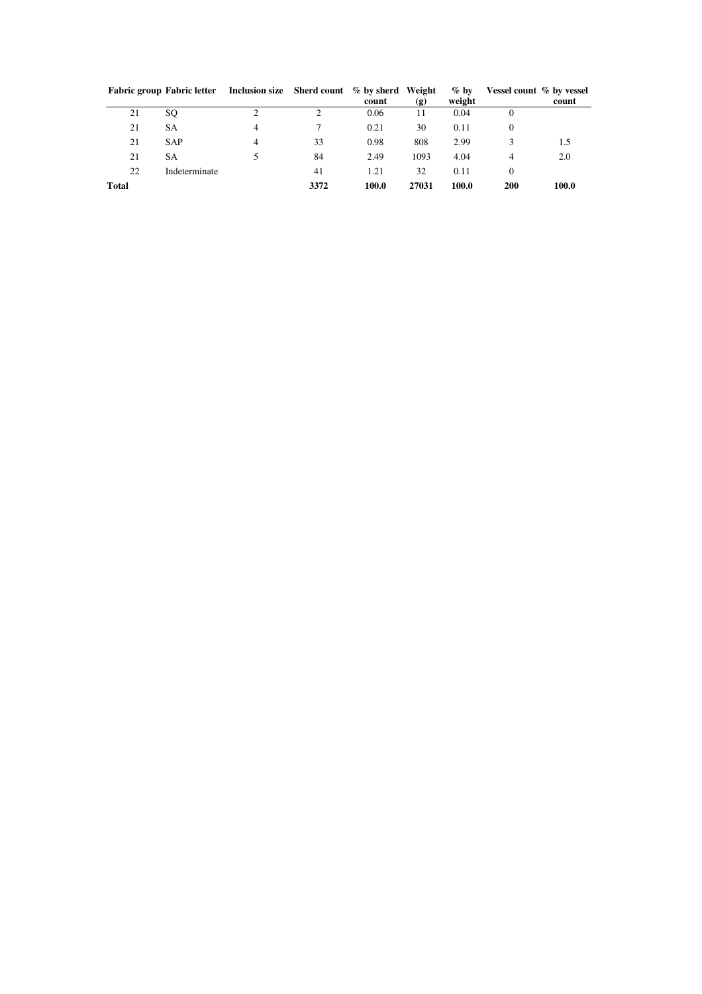|              | <b>Fabric group Fabric letter</b> Inclusion size Sherd count % by sherd Weight |   |      |       |       | $\%$ by | Vessel count % by vessel |       |
|--------------|--------------------------------------------------------------------------------|---|------|-------|-------|---------|--------------------------|-------|
|              |                                                                                |   |      | count | (g)   | weight  |                          | count |
| 21           | SQ                                                                             |   |      | 0.06  | 11    | 0.04    |                          |       |
| 21           | <b>SA</b>                                                                      | 4 |      | 0.21  | 30    | 0.11    |                          |       |
| 21           | <b>SAP</b>                                                                     | 4 | 33   | 0.98  | 808   | 2.99    |                          | 1.5   |
| 21           | <b>SA</b>                                                                      |   | 84   | 2.49  | 1093  | 4.04    | 4                        | 2.0   |
| 22           | Indeterminate                                                                  |   | 41   | 1.21  | 32    | 0.11    | $\Omega$                 |       |
| <b>Total</b> |                                                                                |   | 3372 | 100.0 | 27031 | 100.0   | 200                      | 100.0 |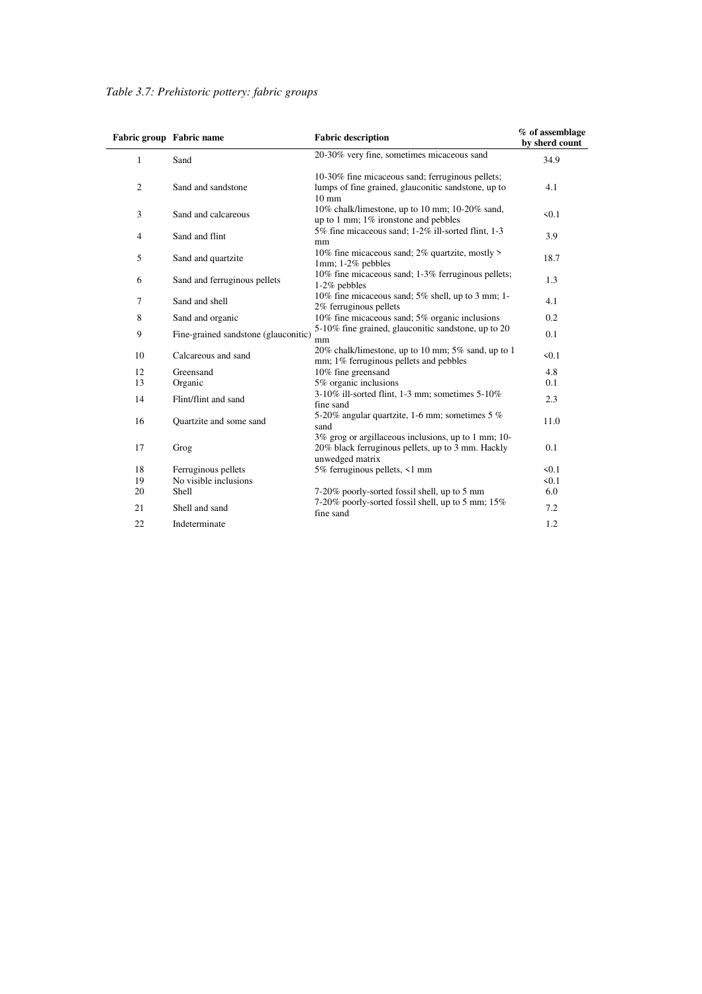| Fabric group Fabric name |                                      | <b>Fabric description</b>                                                                                                   | % of assemblage<br>by sherd count |
|--------------------------|--------------------------------------|-----------------------------------------------------------------------------------------------------------------------------|-----------------------------------|
| $\mathbf{1}$             | Sand                                 | 20-30% very fine, sometimes micaceous sand                                                                                  | 34.9                              |
| $\mathbf{2}$             | Sand and sandstone                   | 10-30% fine micaceous sand; ferruginous pellets;<br>lumps of fine grained, glauconitic sandstone, up to<br>$10 \text{ mm}$  | 4.1                               |
| 3                        | Sand and calcareous                  | 10% chalk/limestone, up to 10 mm; 10-20% sand,<br>up to 1 mm; $1\%$ ironstone and pebbles                                   | < 0.1                             |
| 4                        | Sand and flint                       | 5% fine micaceous sand; 1-2% ill-sorted flint, 1-3<br>mm                                                                    | 3.9                               |
| 5                        | Sand and quartzite                   | 10% fine micaceous sand; 2% quartzite, mostly ><br>1mm; $1-2\%$ pebbles                                                     | 18.7                              |
| 6                        | Sand and ferruginous pellets         | 10% fine micaceous sand; 1-3% ferruginous pellets;<br>1-2% pebbles                                                          | 1.3                               |
| $\tau$                   | Sand and shell                       | 10% fine micaceous sand; 5% shell, up to 3 mm; 1-<br>2% ferruginous pellets                                                 | 4.1                               |
| 8                        | Sand and organic                     | 10% fine micaceous sand; 5% organic inclusions                                                                              | 0.2                               |
| 9                        | Fine-grained sandstone (glauconitic) | 5-10% fine grained, glauconitic sandstone, up to 20<br>$\rm mm$                                                             | 0.1                               |
| 10                       | Calcareous and sand                  | 20% chalk/limestone, up to 10 mm; 5% sand, up to 1<br>mm; 1% ferruginous pellets and pebbles                                | < 0.1                             |
| 12                       | Greensand                            | 10% fine greensand                                                                                                          | 4.8                               |
| 13                       | Organic                              | 5% organic inclusions                                                                                                       | 0.1                               |
| 14                       | Flint/flint and sand                 | $3-10\%$ ill-sorted flint, 1-3 mm; sometimes $5-10\%$<br>fine sand                                                          | 2.3                               |
| 16                       | Quartzite and some sand              | 5-20% angular quartzite, 1-6 mm; sometimes 5 %<br>sand                                                                      | 11.0                              |
| 17                       | Grog                                 | 3% grog or argillaceous inclusions, up to 1 mm; 10-<br>20% black ferruginous pellets, up to 3 mm. Hackly<br>unwedged matrix | 0.1                               |
| 18                       | Ferruginous pellets                  | 5% ferruginous pellets, <1 mm                                                                                               | 50.1                              |
| 19                       | No visible inclusions                |                                                                                                                             | < 0.1                             |
| 20                       | Shell                                | 7-20% poorly-sorted fossil shell, up to 5 mm                                                                                | 6.0                               |
| 21                       | Shell and sand                       | 7-20% poorly-sorted fossil shell, up to 5 mm; 15%<br>fine sand                                                              | 7.2                               |
| 22                       | Indeterminate                        |                                                                                                                             | 1.2                               |

*Table 3.7: Prehistoric pottery: fabric groups*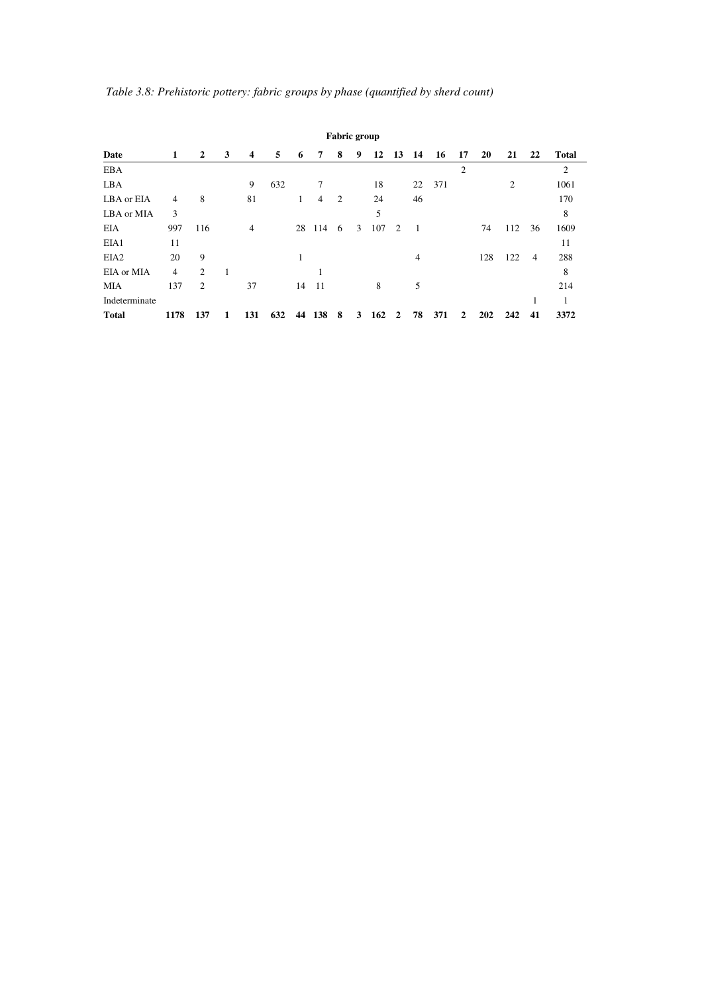|                  |                |                |   |     |     |    |                | <b>Fabric</b> group |   |     |                             |                |     |                |     |                |    |                |
|------------------|----------------|----------------|---|-----|-----|----|----------------|---------------------|---|-----|-----------------------------|----------------|-----|----------------|-----|----------------|----|----------------|
| Date             | 1              | 2              | 3 | 4   | 5   | 6  | 7              | 8                   | 9 | 12  | 13                          | 14             | 16  | 17             | 20  | 21             | 22 | <b>Total</b>   |
| <b>EBA</b>       |                |                |   |     |     |    |                |                     |   |     |                             |                |     | $\overline{2}$ |     |                |    | $\overline{c}$ |
| LBA              |                |                |   | 9   | 632 |    | 7              |                     |   | 18  |                             | 22             | 371 |                |     | $\overline{2}$ |    | 1061           |
| LBA or EIA       | $\overline{4}$ | 8              |   | 81  |     | 1  | $\overline{4}$ | 2                   |   | 24  |                             | 46             |     |                |     |                |    | 170            |
| LBA or MIA       | 3              |                |   |     |     |    |                |                     |   | 5   |                             |                |     |                |     |                |    | 8              |
| <b>EIA</b>       | 997            | 116            |   | 4   |     | 28 | 114            | 6                   | 3 | 107 | $\mathcal{D}_{\mathcal{L}}$ | $\overline{1}$ |     |                | 74  | 112            | 36 | 1609           |
| EIA1             | 11             |                |   |     |     |    |                |                     |   |     |                             |                |     |                |     |                |    | 11             |
| EIA <sub>2</sub> | 20             | 9              |   |     |     | 1  |                |                     |   |     |                             | $\overline{4}$ |     |                | 128 | 122            | 4  | 288            |
| EIA or MIA       | $\overline{4}$ | $\overline{2}$ |   |     |     |    |                |                     |   |     |                             |                |     |                |     |                |    | 8              |
| <b>MIA</b>       | 137            | $\overline{c}$ |   | 37  |     | 14 | 11             |                     |   | 8   |                             | 5              |     |                |     |                |    | 214            |
| Indeterminate    |                |                |   |     |     |    |                |                     |   |     |                             |                |     |                |     |                |    | 1              |
| <b>Total</b>     | 1178           | 137            | 1 | 131 | 632 | 44 | 138            | 8                   | 3 | 162 | 2                           | 78             | 371 | 2              | 202 | 242            | 41 | 3372           |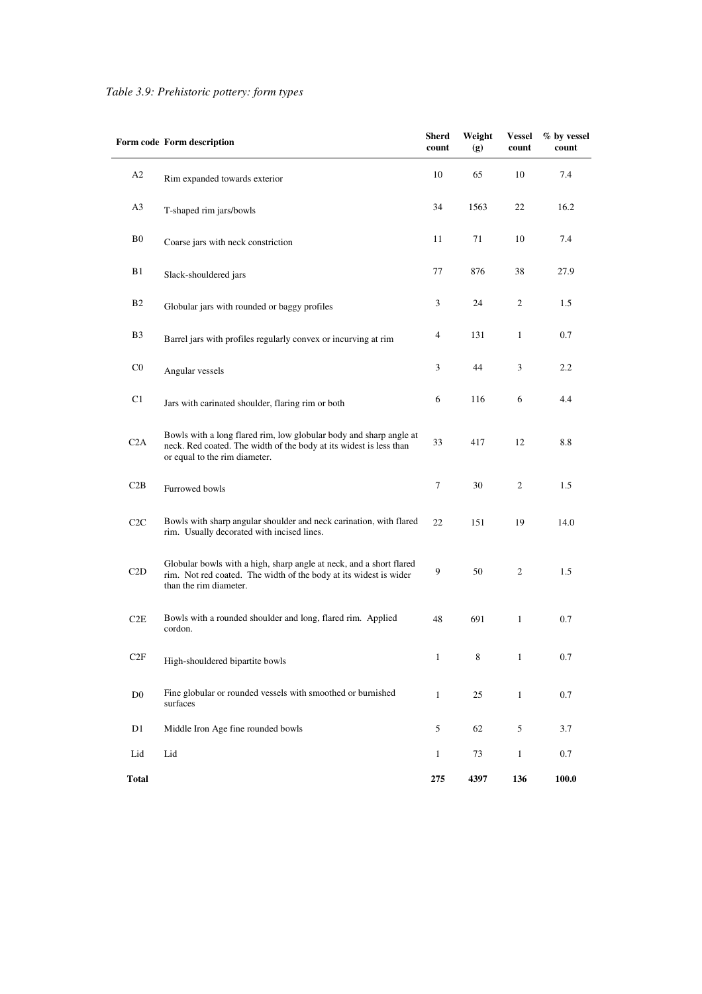|                      | Form code Form description                                                                                                                                                | <b>Sherd</b><br>count | Weight<br>(g) | <b>Vessel</b><br>count               | % by vessel<br>count |
|----------------------|---------------------------------------------------------------------------------------------------------------------------------------------------------------------------|-----------------------|---------------|--------------------------------------|----------------------|
| A2                   | Rim expanded towards exterior                                                                                                                                             | 10                    | 65            | 10                                   | 7.4                  |
| A3                   | T-shaped rim jars/bowls                                                                                                                                                   | 34                    | 1563          | 22                                   | 16.2                 |
| B <sub>0</sub>       | Coarse jars with neck constriction                                                                                                                                        | 11                    | 71            | 10                                   | 7.4                  |
| B1                   | Slack-shouldered jars                                                                                                                                                     | 77                    | 876           | 38                                   | 27.9                 |
| B2                   | Globular jars with rounded or baggy profiles                                                                                                                              | $\mathfrak{Z}$        | 24            | $\mathbf{2}$                         | 1.5                  |
| B <sub>3</sub>       | Barrel jars with profiles regularly convex or incurving at rim                                                                                                            | 4                     | 131           | $\mathbf{1}$                         | 0.7                  |
| $_{\rm C0}$          | Angular vessels                                                                                                                                                           | 3                     | 44            | $\mathfrak{Z}$                       | 2.2                  |
| C1                   | Jars with carinated shoulder, flaring rim or both                                                                                                                         | 6                     | 116           | 6                                    | 4.4                  |
| C2A                  | Bowls with a long flared rim, low globular body and sharp angle at<br>neck. Red coated. The width of the body at its widest is less than<br>or equal to the rim diameter. | 33                    | 417           | 12                                   | 8.8                  |
| C2B                  | Furrowed bowls                                                                                                                                                            | 7                     | 30            | $\mathbf{2}$                         | 1.5                  |
| C2C                  | Bowls with sharp angular shoulder and neck carination, with flared<br>rim. Usually decorated with incised lines.                                                          | 22                    | 151           | 19                                   | 14.0                 |
| C2D                  | Globular bowls with a high, sharp angle at neck, and a short flared<br>rim. Not red coated. The width of the body at its widest is wider<br>than the rim diameter.        | 9                     | 50            | $\sqrt{2}$                           | 1.5                  |
| C2E                  | Bowls with a rounded shoulder and long, flared rim. Applied<br>cordon.                                                                                                    | 48                    | 691           | $\mathbf{1}$                         | 0.7                  |
| $\operatorname{C2F}$ | High-shouldered bipartite bowls                                                                                                                                           | $\mathbf{1}$          | 8             | $\begin{array}{ccc} & 1 \end{array}$ | 0.7                  |
| $\rm D0$             | Fine globular or rounded vessels with smoothed or burnished<br>surfaces                                                                                                   | $\mathbf{1}$          | 25            | $\mathbf{1}$                         | $0.7\,$              |
| D1                   | Middle Iron Age fine rounded bowls                                                                                                                                        | $\sqrt{5}$            | 62            | $\mathfrak s$                        | 3.7                  |
| Lid                  | Lid                                                                                                                                                                       | $\mathbf{1}$          | 73            | $\mathbf{1}$                         | $0.7\,$              |
| <b>Total</b>         |                                                                                                                                                                           | 275                   | 4397          | 136                                  | 100.0                |

### *Table 3.9: Prehistoric pottery: form types*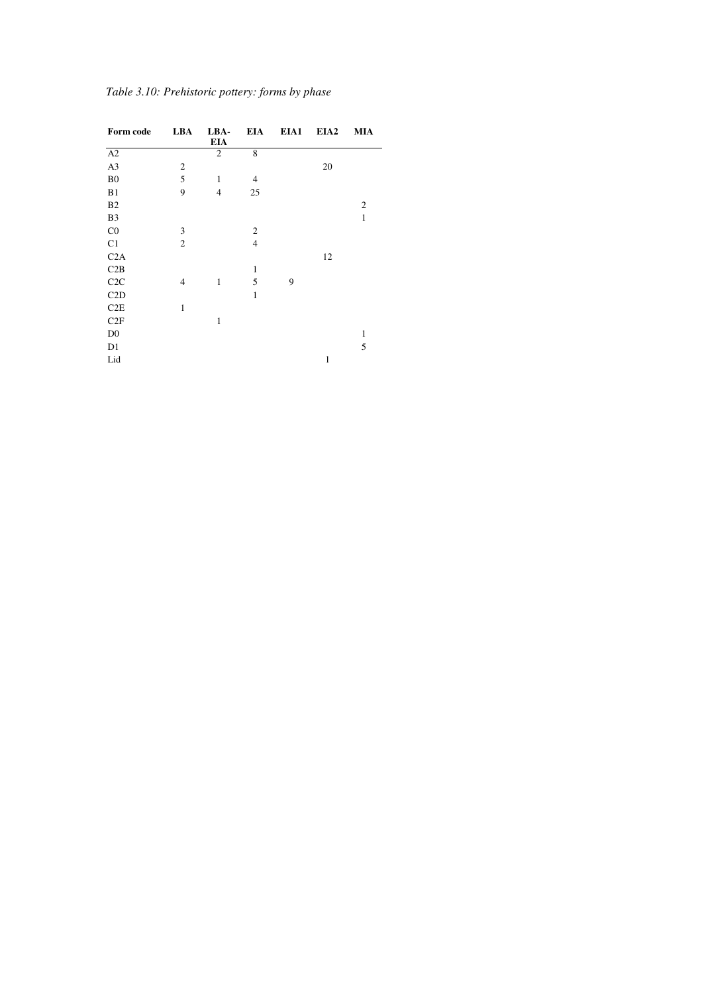|  | Table 3.10: Prehistoric pottery: forms by phase |  |  |
|--|-------------------------------------------------|--|--|
|  |                                                 |  |  |

| Form code      | <b>LBA</b>     | LBA-<br><b>EIA</b> |                | EIA EIA1 EIA2 |              | MIA            |
|----------------|----------------|--------------------|----------------|---------------|--------------|----------------|
| A2             |                | $\overline{2}$     | 8              |               |              |                |
| A3             | $\overline{2}$ |                    |                |               | 20           |                |
| B <sub>0</sub> | 5              | $\mathbf{1}$       | $\overline{4}$ |               |              |                |
| B1             | 9              | $\overline{4}$     | 25             |               |              |                |
| B2             |                |                    |                |               |              | $\mathfrak{2}$ |
| B <sub>3</sub> |                |                    |                |               |              | $\mathbf{1}$   |
| C <sub>0</sub> | 3              |                    | $\overline{2}$ |               |              |                |
| C1             | $\mathfrak{2}$ |                    | $\overline{4}$ |               |              |                |
| C2A            |                |                    |                |               | 12           |                |
| C2B            |                |                    | 1              |               |              |                |
| C2C            | $\overline{4}$ | $\mathbf{1}$       | 5              | 9             |              |                |
| C2D            |                |                    | 1              |               |              |                |
| C2E            | $\mathbf{1}$   |                    |                |               |              |                |
| C2F            |                | 1                  |                |               |              |                |
| $\mathbf{D}0$  |                |                    |                |               |              | 1              |
| D1             |                |                    |                |               |              | 5              |
| Lid            |                |                    |                |               | $\mathbf{1}$ |                |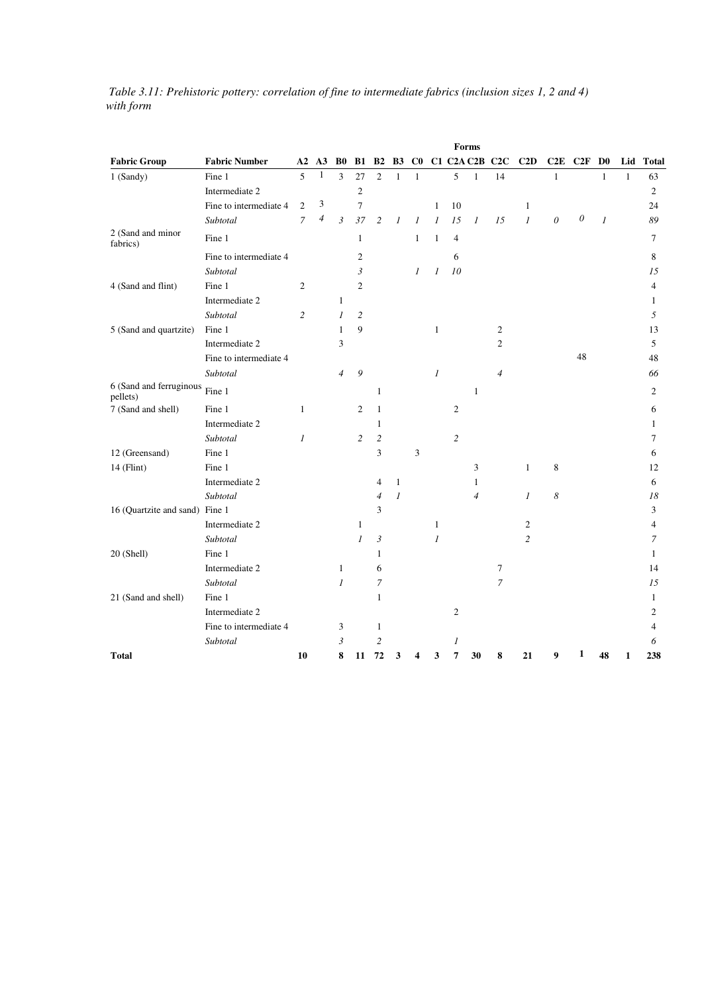|                                     | Forms                  |                |                          |                |                |                |                |                  |                |                   |                |                  |                |              |          |                |              |              |
|-------------------------------------|------------------------|----------------|--------------------------|----------------|----------------|----------------|----------------|------------------|----------------|-------------------|----------------|------------------|----------------|--------------|----------|----------------|--------------|--------------|
| <b>Fabric Group</b>                 | <b>Fabric Number</b>   | A2             | A <sub>3</sub>           | B <sub>0</sub> | B1             | <b>B2</b>      | B <sub>3</sub> | C <sub>0</sub>   |                | <b>C1 C2A C2B</b> |                | C2C              | C2D            | C2E          | C2F      | D <sub>0</sub> | Lid          | <b>Total</b> |
| 1 (Sandy)                           | Fine 1                 | 5              | 1                        | 3              | 27             | $\overline{2}$ | 1              | $\mathbf{1}$     |                | 5                 | $\mathbf{1}$   | 14               |                | $\mathbf{1}$ |          | $\mathbf{1}$   | $\mathbf{1}$ | 63           |
|                                     | Intermediate 2         |                |                          |                | $\mathfrak{2}$ |                |                |                  |                |                   |                |                  |                |              |          |                |              | 2            |
|                                     | Fine to intermediate 4 | $\overline{2}$ | 3                        |                | $\overline{7}$ |                |                |                  | 1              | 10                |                |                  | $\mathbf{1}$   |              |          |                |              | 24           |
|                                     | Subtotal               | $\overline{7}$ | $\overline{\mathcal{A}}$ | $\mathfrak{Z}$ | 37             | $\overline{c}$ | $\mathfrak{1}$ | 1                | 1              | 15                | $\mathfrak{1}$ | 15               | $\mathcal{I}$  | 0            | $\theta$ | $\mathcal{I}$  |              | 89           |
| 2 (Sand and minor<br>fabrics)       | Fine 1                 |                |                          |                | $\mathbf{1}$   |                |                | $\mathbf{1}$     | 1              | $\overline{4}$    |                |                  |                |              |          |                |              | $\tau$       |
|                                     | Fine to intermediate 4 |                |                          |                | $\overline{c}$ |                |                |                  |                | 6                 |                |                  |                |              |          |                |              | 8            |
|                                     | Subtotal               |                |                          |                | 3              |                |                | $\boldsymbol{l}$ | $\mathfrak{1}$ | 10                |                |                  |                |              |          |                |              | 15           |
| 4 (Sand and flint)                  | Fine 1                 | $\mathfrak{2}$ |                          |                | $\overline{c}$ |                |                |                  |                |                   |                |                  |                |              |          |                |              | 4            |
|                                     | Intermediate 2         |                |                          | $\mathbf{1}$   |                |                |                |                  |                |                   |                |                  |                |              |          |                |              | $\mathbf{1}$ |
|                                     | Subtotal               | $\overline{c}$ |                          | $\mathfrak{1}$ | $\overline{c}$ |                |                |                  |                |                   |                |                  |                |              |          |                |              | 5            |
| 5 (Sand and quartzite)              | Fine 1                 |                |                          | $\mathbf{1}$   | 9              |                |                |                  | 1              |                   |                | $\boldsymbol{2}$ |                |              |          |                |              | 13           |
|                                     | Intermediate 2         |                |                          | 3              |                |                |                |                  |                |                   |                | $\overline{c}$   |                |              |          |                |              | 5            |
|                                     | Fine to intermediate 4 |                |                          |                |                |                |                |                  |                |                   |                |                  |                |              | 48       |                |              | 48           |
|                                     | Subtotal               |                |                          | $\overline{4}$ | 9              |                |                |                  | 1              |                   |                | $\overline{4}$   |                |              |          |                |              | 66           |
| 6 (Sand and ferruginous<br>pellets) | Fine 1                 |                |                          |                |                | $\mathbf{1}$   |                |                  |                |                   | 1              |                  |                |              |          |                |              | 2            |
| 7 (Sand and shell)                  | Fine 1                 | $\mathbf{1}$   |                          |                | $\mathfrak{2}$ | 1              |                |                  |                | $\overline{c}$    |                |                  |                |              |          |                |              | 6            |
|                                     | Intermediate 2         |                |                          |                |                | 1              |                |                  |                |                   |                |                  |                |              |          |                |              | 1            |
|                                     | Subtotal               | 1              |                          |                | $\overline{c}$ | $\overline{c}$ |                |                  |                | $\overline{c}$    |                |                  |                |              |          |                |              | 7            |
| 12 (Greensand)                      | Fine 1                 |                |                          |                |                | 3              |                | 3                |                |                   |                |                  |                |              |          |                |              | 6            |
| $14$ (Flint)                        | Fine 1                 |                |                          |                |                |                |                |                  |                |                   | 3              |                  | $\mathbf{1}$   | 8            |          |                |              | 12           |
|                                     | Intermediate 2         |                |                          |                |                | 4              | $\mathbf{1}$   |                  |                |                   | $\mathbf{1}$   |                  |                |              |          |                |              | 6            |
|                                     | Subtotal               |                |                          |                |                | $\overline{4}$ | $\mathfrak{1}$ |                  |                |                   | $\overline{4}$ |                  | $\mathcal{I}$  | 8            |          |                |              | 18           |
| 16 (Quartzite and sand) Fine 1      |                        |                |                          |                |                | 3              |                |                  |                |                   |                |                  |                |              |          |                |              | 3            |
|                                     | Intermediate 2         |                |                          |                | 1              |                |                |                  | 1              |                   |                |                  | 2              |              |          |                |              | 4            |
|                                     | Subtotal               |                |                          |                | $\mathfrak{1}$ | 3              |                |                  | $\mathfrak{1}$ |                   |                |                  | $\overline{c}$ |              |          |                |              | 7            |
| 20 (Shell)                          | Fine 1                 |                |                          |                |                | 1              |                |                  |                |                   |                |                  |                |              |          |                |              | 1            |
|                                     | Intermediate 2         |                |                          | 1              |                | 6              |                |                  |                |                   |                | $\tau$           |                |              |          |                |              | 14           |
|                                     | Subtotal               |                |                          | $\mathcal{I}$  |                | 7              |                |                  |                |                   |                | $\overline{7}$   |                |              |          |                |              | 15           |
| 21 (Sand and shell)                 | Fine 1                 |                |                          |                |                | $\mathbf{1}$   |                |                  |                |                   |                |                  |                |              |          |                |              | $\mathbf{1}$ |
|                                     | Intermediate 2         |                |                          |                |                |                |                |                  |                | 2                 |                |                  |                |              |          |                |              | 2            |
|                                     | Fine to intermediate 4 |                |                          | 3              |                | 1              |                |                  |                |                   |                |                  |                |              |          |                |              | 4            |
|                                     | Subtotal               |                |                          | $\mathfrak{Z}$ |                | $\overline{c}$ |                |                  |                | 1                 |                |                  |                |              |          |                |              | 6            |
| <b>Total</b>                        |                        | 10             |                          | 8              | 11             | 72             | 3              | 4                | 3              | 7                 | 30             | 8                | 21             | 9            | 1        | 48             | 1            | 238          |

 *Table 3.11: Prehistoric pottery: correlation of fine to intermediate fabrics (inclusion sizes 1, 2 and 4) with form*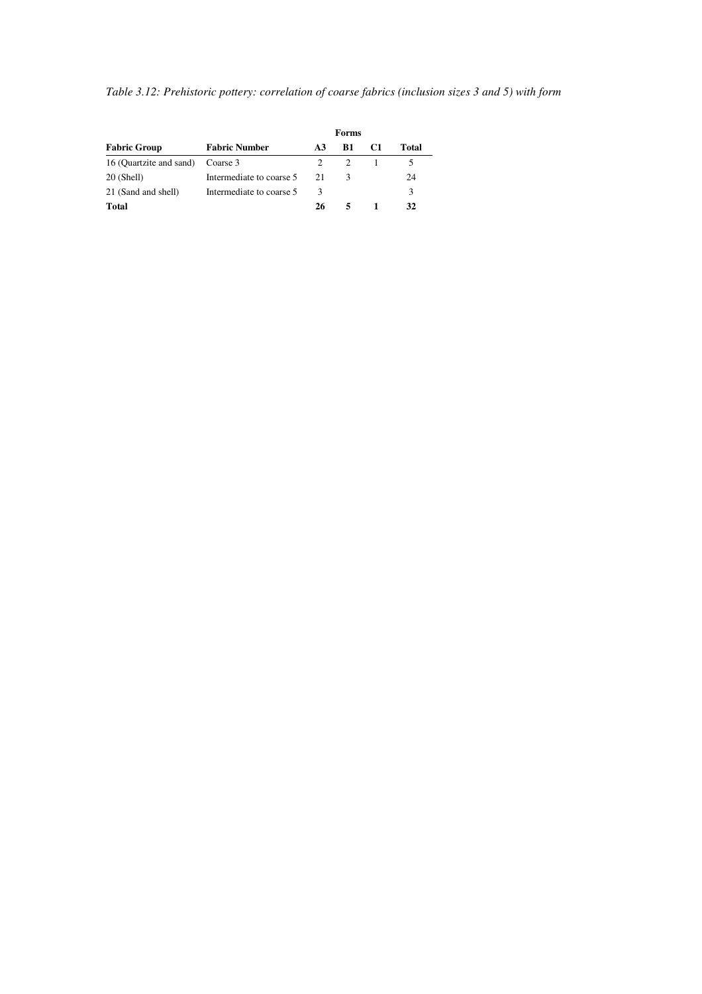|  | Table 3.12: Prehistoric pottery: correlation of coarse fabrics (inclusion sizes 3 and 5) with form |  |  |  |  |
|--|----------------------------------------------------------------------------------------------------|--|--|--|--|
|--|----------------------------------------------------------------------------------------------------|--|--|--|--|

|                         |                          |                | Forms |    |       |
|-------------------------|--------------------------|----------------|-------|----|-------|
| <b>Fabric Group</b>     | <b>Fabric Number</b>     | A <sub>3</sub> | -R1   | C1 | Total |
| 16 (Quartzite and sand) | Coarse 3                 |                |       |    |       |
| $20$ (Shell)            | Intermediate to coarse 5 | 21             |       |    | 24    |
| 21 (Sand and shell)     | Intermediate to coarse 5 |                |       |    | 3     |
| <b>Total</b>            |                          | 26             |       |    | 32    |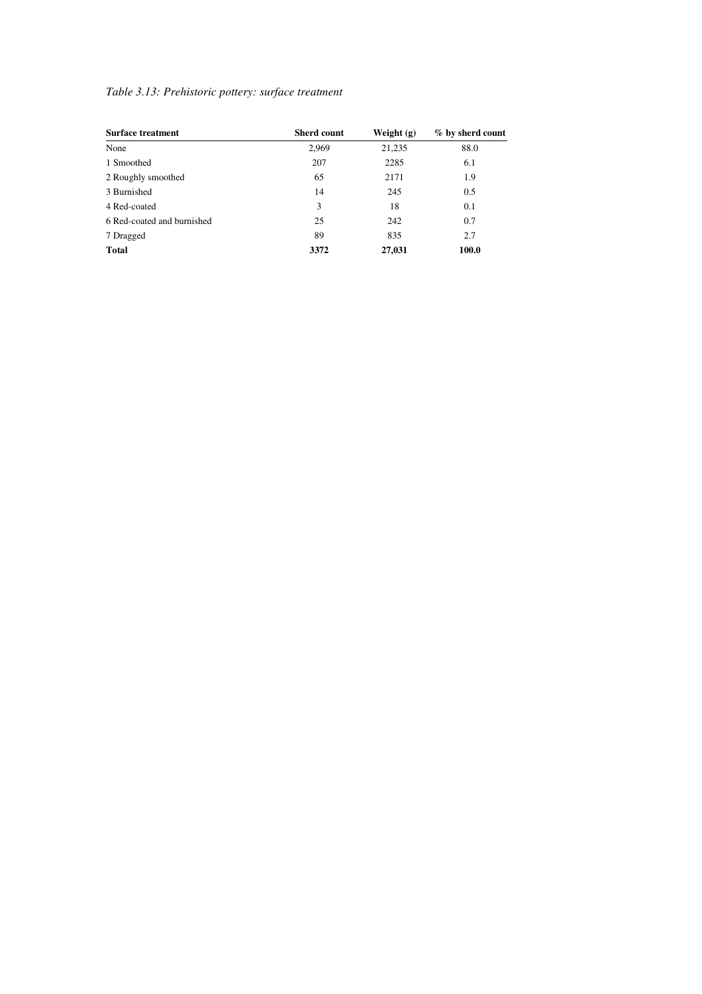### *Table 3.13: Prehistoric pottery: surface treatment*

| <b>Surface treatment</b>   | <b>Sherd count</b> | Weight $(g)$ | % by sherd count |
|----------------------------|--------------------|--------------|------------------|
| None                       | 2,969              | 21,235       | 88.0             |
| 1 Smoothed                 | 207                | 2285         | 6.1              |
| 2 Roughly smoothed         | 65                 | 2171         | 1.9              |
| 3 Burnished                | 14                 | 245          | 0.5              |
| 4 Red-coated               | 3                  | 18           | 0.1              |
| 6 Red-coated and burnished | 25                 | 242          | 0.7              |
| 7 Dragged                  | 89                 | 835          | 2.7              |
| <b>Total</b>               | 3372               | 27,031       | 100.0            |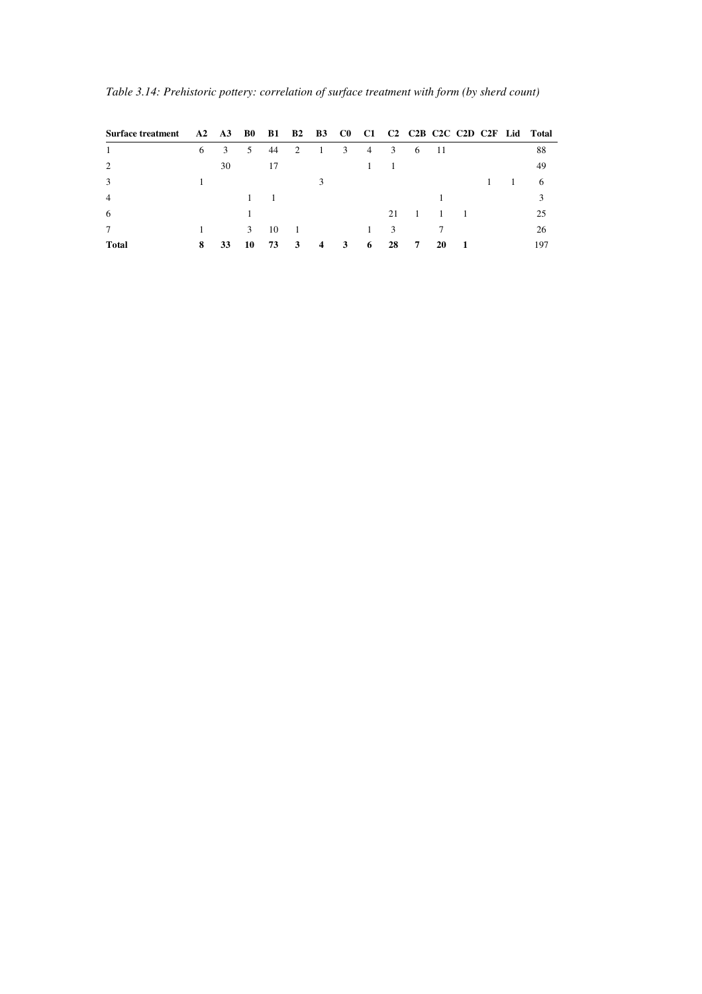| Surface treatment |   | $A2 \overline{A3}$ | B0 | <b>B1</b> | <b>B2 B3</b> |                    | C <sub>0</sub> | C1 | C <sub>2</sub> |   | C <sub>2</sub> B C <sub>2</sub> C C <sub>2</sub> D C <sub>2F</sub> Lid |  | Total |
|-------------------|---|--------------------|----|-----------|--------------|--------------------|----------------|----|----------------|---|------------------------------------------------------------------------|--|-------|
|                   | 6 | 3                  | 5  | 44        | 2            | 1                  | 3              | 4  | 3              | 6 | -11                                                                    |  | 88    |
| 2                 |   | 30                 |    | 17        |              |                    |                |    |                |   |                                                                        |  | 49    |
| 3                 |   |                    |    |           |              |                    |                |    |                |   |                                                                        |  | 6     |
| $\overline{4}$    |   |                    |    |           |              |                    |                |    |                |   |                                                                        |  |       |
| 6                 |   |                    |    |           |              |                    |                |    | 21             |   |                                                                        |  | 25    |
| $\overline{7}$    |   |                    | 3  | 10        |              |                    |                |    | 3              |   |                                                                        |  | 26    |
| <b>Total</b>      | 8 | 33                 | 10 | 73        | 3            | $\overline{\bf 4}$ | 3              | 6  | 28             | 7 | 20                                                                     |  | 197   |

*Table 3.14: Prehistoric pottery: correlation of surface treatment with form (by sherd count)*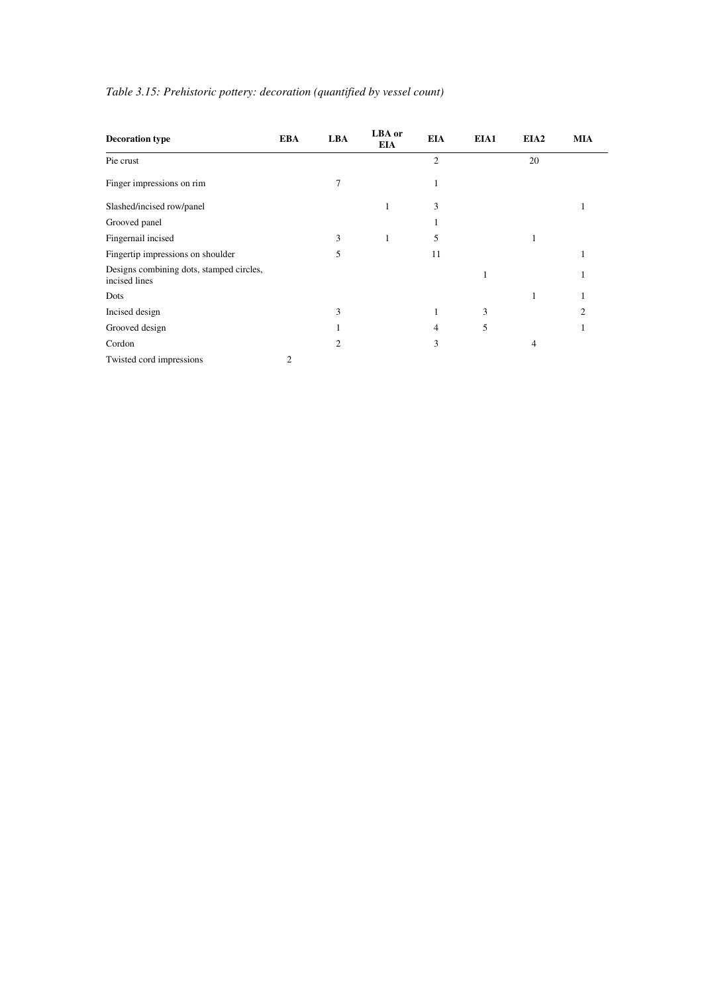| <b>Decoration type</b>                                    | <b>EBA</b> | <b>LBA</b>     | LBA or<br><b>EIA</b> | <b>EIA</b>     | EIA1 | EIA <sub>2</sub> | <b>MIA</b>     |
|-----------------------------------------------------------|------------|----------------|----------------------|----------------|------|------------------|----------------|
| Pie crust                                                 |            |                |                      | $\overline{2}$ |      | 20               |                |
| Finger impressions on rim                                 |            | 7              |                      |                |      |                  |                |
| Slashed/incised row/panel                                 |            |                | 1                    | 3              |      |                  |                |
| Grooved panel                                             |            |                |                      |                |      |                  |                |
| Fingernail incised                                        |            | 3              | 1                    | 5              |      |                  |                |
| Fingertip impressions on shoulder                         |            | 5              |                      | 11             |      |                  |                |
| Designs combining dots, stamped circles,<br>incised lines |            |                |                      |                | 1    |                  |                |
| Dots                                                      |            |                |                      |                |      | 1                |                |
| Incised design                                            |            | 3              |                      | 1              | 3    |                  | $\overline{c}$ |
| Grooved design                                            |            | 1              |                      | $\overline{4}$ | 5    |                  |                |
| Cordon                                                    |            | $\overline{c}$ |                      | 3              |      | 4                |                |
| Twisted cord impressions                                  | 2          |                |                      |                |      |                  |                |

### *Table 3.15: Prehistoric pottery: decoration (quantified by vessel count)*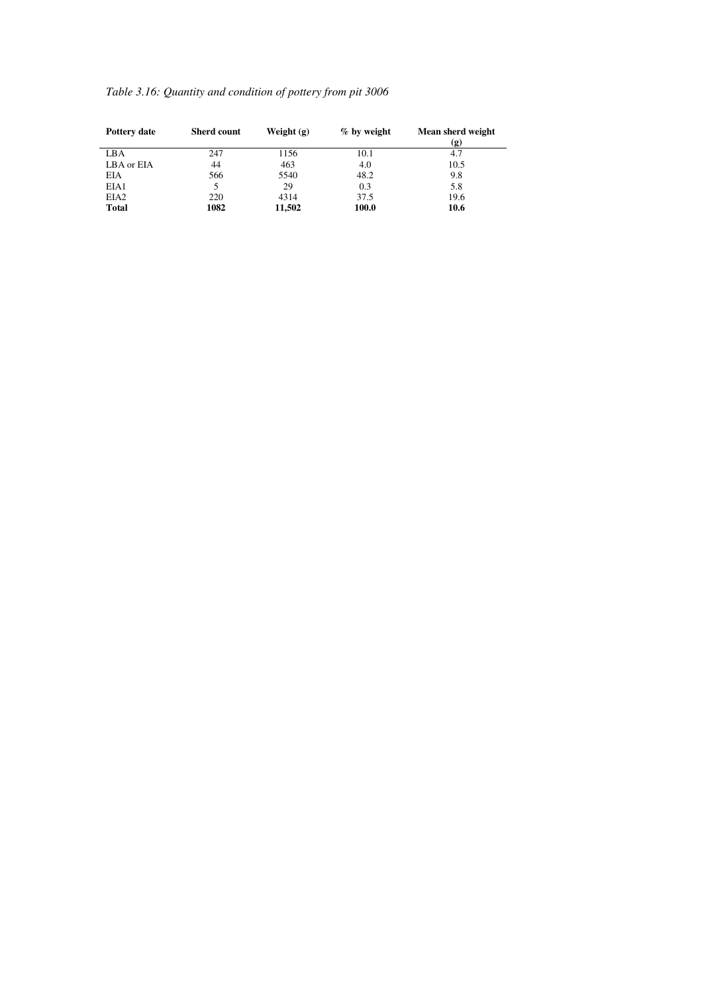| <b>Pottery date</b> | <b>Sherd count</b> | Weight $(g)$ | % by weight | Mean sherd weight<br>(g) |
|---------------------|--------------------|--------------|-------------|--------------------------|
| LBA                 | 247                | 1156         | 10.1        | 4.7                      |
| LBA or EIA          | 44                 | 463          | 4.0         | 10.5                     |
| <b>EIA</b>          | 566                | 5540         | 48.2        | 9.8                      |
| EIA1                | 5                  | 29           | 0.3         | 5.8                      |
| EIA <sub>2</sub>    | 220                | 4314         | 37.5        | 19.6                     |
| <b>Total</b>        | 1082               | 11,502       | 100.0       | 10.6                     |

### *Table 3.16: Quantity and condition of pottery from pit 3006*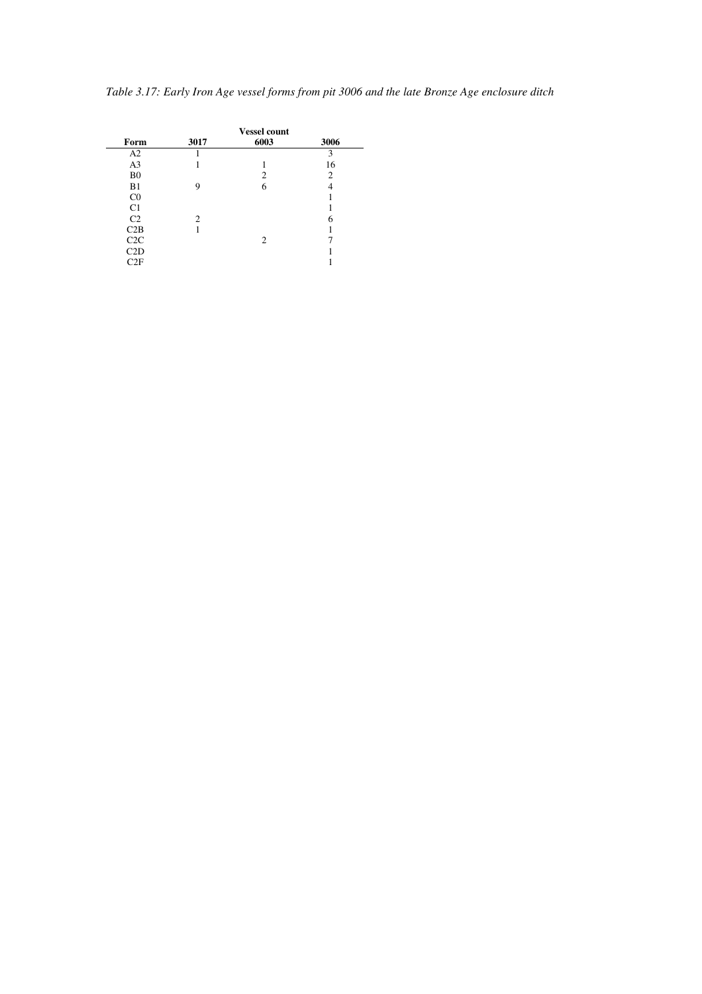*Table 3.17: Early Iron Age vessel forms from pit 3006 and the late Bronze Age enclosure ditch* 

|                |                | <b>Vessel count</b> |      |
|----------------|----------------|---------------------|------|
| Form           | 3017           | 6003                | 3006 |
| A2             |                |                     | 3    |
| A <sub>3</sub> |                |                     | 16   |
| B <sub>0</sub> |                | 2                   | 2    |
| B1             | 9              | 6                   |      |
| C <sub>0</sub> |                |                     |      |
| C <sub>1</sub> |                |                     |      |
| C <sub>2</sub> | $\overline{c}$ |                     | 6    |
| C2B            |                |                     |      |
| C2C            |                | 2                   |      |
| C2D            |                |                     |      |
| C2F            |                |                     |      |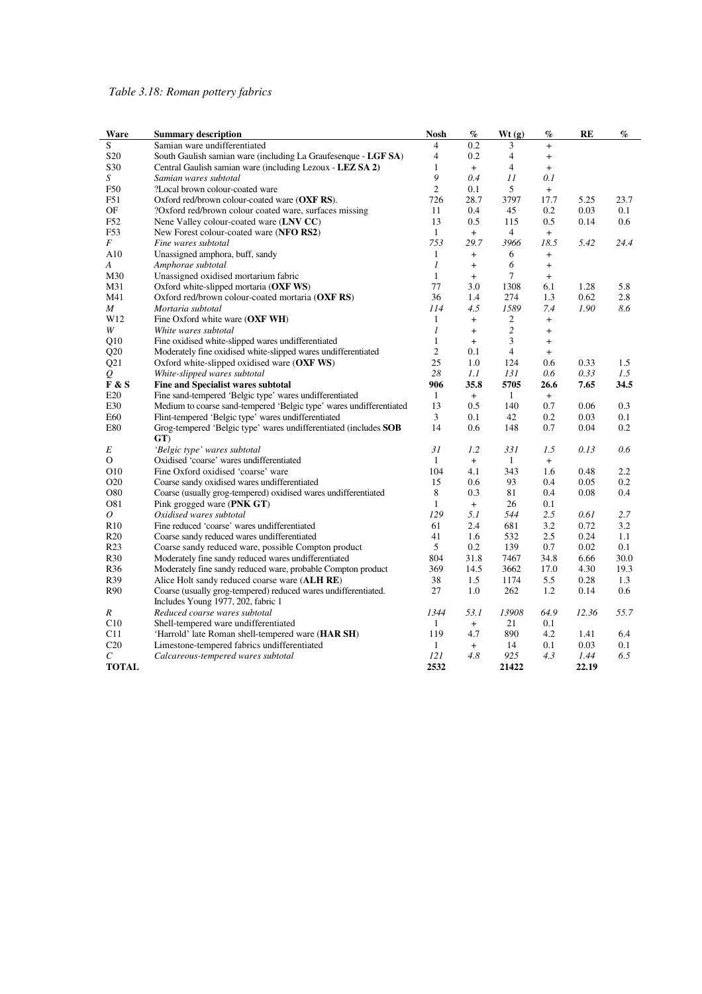### *Table 3.18: Roman pottery fabrics*

| Ware                  | <b>Summary description</b>                                          | <b>Nosh</b>    | %    | Wt(g)                   | %                                | RE    | %    |
|-----------------------|---------------------------------------------------------------------|----------------|------|-------------------------|----------------------------------|-------|------|
| S                     | Samian ware undifferentiated                                        | $\overline{4}$ | 0.2  | 3                       | $\ddot{}$                        |       |      |
| S <sub>20</sub>       | South Gaulish samian ware (including La Graufesenque - LGF SA)      | 4              | 0.2  | $\overline{\mathbf{4}}$ | $^{+}$                           |       |      |
| S30                   | Central Gaulish samian ware (including Lezoux - LEZ SA 2)           | 1              | $+$  | $\overline{4}$          | $\ddot{}$                        |       |      |
| $\boldsymbol{S}$      | Samian wares subtotal                                               | 9              | 0.4  | 11                      | 0.1                              |       |      |
| F50                   | ?Local brown colour-coated ware                                     | $\overline{c}$ | 0.1  | 5                       | $+$                              |       |      |
| F51                   | Oxford red/brown colour-coated ware (OXF RS).                       | 726            | 28.7 | 3797                    | 17.7                             | 5.25  | 23.7 |
| OF                    | ?Oxford red/brown colour coated ware, surfaces missing              | 11             | 0.4  | 45                      | 0.2                              | 0.03  | 0.1  |
| F52                   | Nene Valley colour-coated ware (LNV CC)                             | 13             | 0.5  | 115                     | 0.5                              | 0.14  | 0.6  |
| F53                   | New Forest colour-coated ware (NFO RS2)                             | $\mathbf{1}$   | $+$  | $\overline{4}$          | $+$                              |       |      |
| F                     | Fine wares subtotal                                                 | 753            | 29.7 | 3966                    | 18.5                             | 5.42  | 24.4 |
| A10                   | Unassigned amphora, buff, sandy                                     | $\mathbf{1}$   | $+$  | 6                       | $^{+}$                           |       |      |
| A                     | Amphorae subtotal                                                   | 1              | $+$  | 6                       | $\begin{array}{c} + \end{array}$ |       |      |
| M30                   | Unassigned oxidised mortarium fabric                                | 1              | $+$  | $\tau$                  | $+$                              |       |      |
| M31                   | Oxford white-slipped mortaria (OXF WS)                              | 77             | 3.0  | 1308                    | 6.1                              | 1.28  | 5.8  |
| M41                   | Oxford red/brown colour-coated mortaria (OXF RS)                    | 36             | 1.4  | 274                     | 1.3                              | 0.62  | 2.8  |
| M                     | Mortaria subtotal                                                   | 114            | 4.5  | 1589                    | 7.4                              | 1.90  | 8.6  |
| W12                   | Fine Oxford white ware (OXF WH)                                     | $\mathbf{1}$   | $+$  | 2                       | $\begin{array}{c} + \end{array}$ |       |      |
| W                     | White wares subtotal                                                | 1              | $+$  | $\overline{c}$          | $^{+}$                           |       |      |
| Q10                   | Fine oxidised white-slipped wares undifferentiated                  | $\mathbf{1}$   | $+$  | 3                       | $^{+}$                           |       |      |
| Q20                   | Moderately fine oxidised white-slipped wares undifferentiated       | $\overline{c}$ | 0.1  | $\overline{4}$          | $+$                              |       |      |
| Q21                   | Oxford white-slipped oxidised ware (OXF WS)                         | 25             | 1.0  | 124                     | 0.6                              | 0.33  | 1.5  |
| Q                     | White-slipped wares subtotal                                        | 28             | 1.1  | 131                     | 0.6                              | 0.33  | 1.5  |
| F & S                 | Fine and Specialist wares subtotal                                  | 906            | 35.8 | 5705                    | 26.6                             | 7.65  | 34.5 |
| E20                   | Fine sand-tempered 'Belgic type' wares undifferentiated             | $\mathbf{1}$   | $+$  | $\mathbf{1}$            | $+$                              |       |      |
| E30                   | Medium to coarse sand-tempered 'Belgic type' wares undifferentiated | 13             | 0.5  | 140                     | 0.7                              | 0.06  | 0.3  |
| E60                   | Flint-tempered 'Belgic type' wares undifferentiated                 | 3              | 0.1  | 42                      | 0.2                              | 0.03  | 0.1  |
| E80                   | Grog-tempered 'Belgic type' wares undifferentiated (includes SOB    | 14             | 0.6  | 148                     | 0.7                              | 0.04  | 0.2  |
|                       | GT)                                                                 |                |      |                         |                                  |       |      |
| E                     | 'Belgic type' wares subtotal                                        | 31             | 1.2  | 331                     | 1.5                              | 0.13  | 0.6  |
| $\overline{O}$        | Oxidised 'coarse' wares undifferentiated                            | $\mathbf{1}$   | $+$  | $\mathbf{1}$            | $+$                              |       |      |
| O10                   | Fine Oxford oxidised 'coarse' ware                                  | 104            | 4.1  | 343                     | 1.6                              | 0.48  | 2.2  |
| O <sub>20</sub>       | Coarse sandy oxidised wares undifferentiated                        | 15             | 0.6  | 93                      | 0.4                              | 0.05  | 0.2  |
| O80                   | Coarse (usually grog-tempered) oxidised wares undifferentiated      | 8              | 0.3  | 81                      | 0.4                              | 0.08  | 0.4  |
| O81                   | Pink grogged ware (PNK GT)                                          | $\mathbf{1}$   | $+$  | 26                      | 0.1                              |       |      |
| $\overline{O}$        | Oxidised wares subtotal                                             | 129            | 5.1  | 544                     | 2.5                              | 0.61  | 2.7  |
| R10                   | Fine reduced 'coarse' wares undifferentiated                        | 61             | 2.4  | 681                     | 3.2                              | 0.72  | 3.2  |
| $R_{20}$              | Coarse sandy reduced wares undifferentiated                         | 41             | 1.6  | 532                     | 2.5                              | 0.24  | 1.1  |
| R <sub>23</sub>       | Coarse sandy reduced ware, possible Compton product                 | 5              | 0.2  | 139                     | 0.7                              | 0.02  | 0.1  |
| R30                   | Moderately fine sandy reduced wares undifferentiated                | 804            | 31.8 | 7467                    | 34.8                             | 6.66  | 30.0 |
| R <sub>36</sub>       | Moderately fine sandy reduced ware, probable Compton product        | 369            | 14.5 | 3662                    | 17.0                             | 4.30  | 19.3 |
| R39                   | Alice Holt sandy reduced coarse ware (ALH RE)                       | 38             | 1.5  | 1174                    | 5.5                              | 0.28  | 1.3  |
| R90                   | Coarse (usually grog-tempered) reduced wares undifferentiated.      | 27             | 1.0  | 262                     | 1.2                              | 0.14  | 0.6  |
|                       | Includes Young 1977, 202, fabric 1                                  |                |      |                         |                                  |       |      |
| R                     | Reduced coarse wares subtotal                                       | 1344           | 53.1 | 13908                   | 64.9                             | 12.36 | 55.7 |
| C10                   | Shell-tempered ware undifferentiated                                | $\mathbf{1}$   | $+$  | 21                      | 0.1                              |       |      |
| C11                   | 'Harrold' late Roman shell-tempered ware ( <b>HAR SH</b> )          | 119            | 4.7  | 890                     | 4.2                              | 1.41  | 6.4  |
| C <sub>20</sub>       | Limestone-tempered fabrics undifferentiated                         | $\mathbf{1}$   | $+$  | 14                      | 0.1                              | 0.03  | 0.1  |
| $\mathcal{C}_{0}^{0}$ | Calcareous-tempered wares subtotal                                  | 121            | 4.8  | 925                     | 4.3                              | 1.44  | 6.5  |
| <b>TOTAL</b>          |                                                                     | 2532           |      | 21422                   |                                  | 22.19 |      |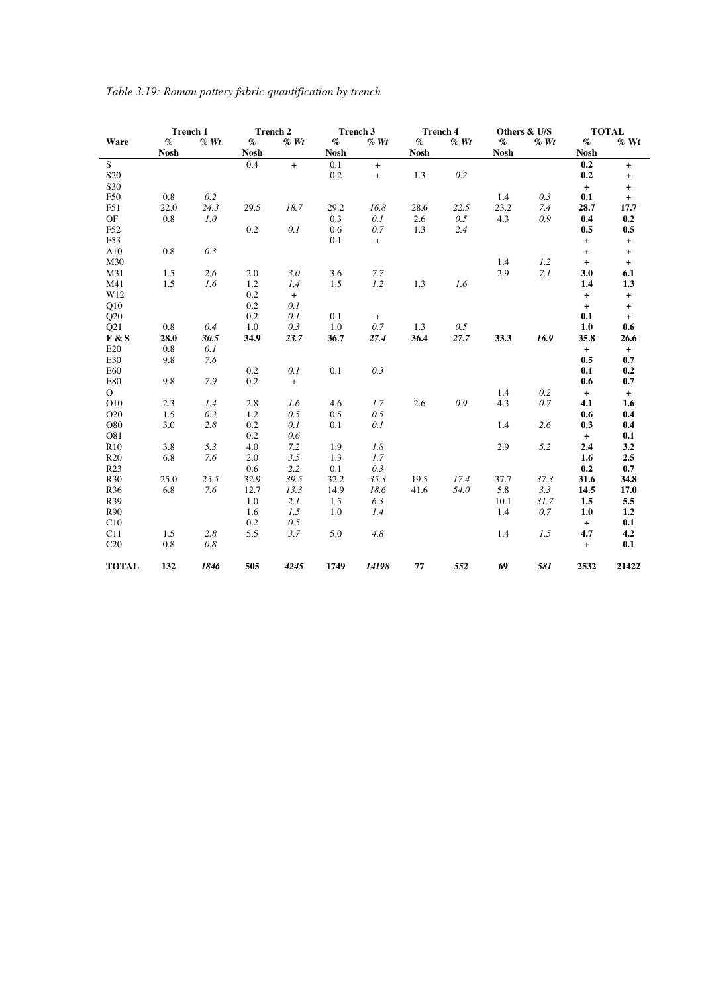|                 | <b>Trench 1</b> |      |                    | <b>Trench 2</b>  |                     | Trench 3 |                     | <b>Trench 4</b> |             | Others & U/S |                     | <b>TOTAL</b> |
|-----------------|-----------------|------|--------------------|------------------|---------------------|----------|---------------------|-----------------|-------------|--------------|---------------------|--------------|
| Ware            | $\%$            | % Wt | $\%$               | $\%$ Wt          | $\%$<br><b>Nosh</b> | % Wt     | $\%$<br><b>Nosh</b> | $\%$ Wt         | $\%$        | % Wt         | $\%$<br><b>Nosh</b> | $%$ Wt       |
| S.              | <b>Nosh</b>     |      | <b>Nosh</b><br>0.4 | $+$              | 0.1                 | $+$      |                     |                 | <b>Nosh</b> |              | 0.2                 | $+$          |
| S <sub>20</sub> |                 |      |                    |                  | $0.2\,$             | $+$      | 1.3                 | 0.2             |             |              | 0.2                 | $\ddot{}$    |
| S30             |                 |      |                    |                  |                     |          |                     |                 |             |              | $\ddot{}$           | $\ddot{}$    |
| F50             | 0.8             | 0.2  |                    |                  |                     |          |                     |                 | 1.4         | 0.3          | 0.1                 | $+$          |
| F51             | 22.0            | 24.3 | 29.5               | 18.7             | 29.2                | 16.8     | 28.6                | 22.5            | 23.2        | 7.4          | 28.7                | 17.7         |
| OF              | $\rm 0.8$       | 1.0  |                    |                  | 0.3                 | 0.1      | 2.6                 | 0.5             | 4.3         | 0.9          | 0.4                 | 0.2          |
| F52             |                 |      | 0.2                | 0.1              | 0.6                 | 0.7      | 1.3                 | 2.4             |             |              | 0.5                 | 0.5          |
| F53             |                 |      |                    |                  | 0.1                 | $+$      |                     |                 |             |              | $\ddot{}$           | $\ddot{}$    |
| A10             | 0.8             | 0.3  |                    |                  |                     |          |                     |                 |             |              | $\ddot{}$           | $\ddot{}$    |
| M30             |                 |      |                    |                  |                     |          |                     |                 | 1.4         | 1.2          | $\ddot{}$           | $+$          |
| M31             | 1.5             | 2.6  | 2.0                | 3.0              | 3.6                 | 7.7      |                     |                 | 2.9         | $7.1$        | 3.0                 | 6.1          |
| M41             | 1.5             | 1.6  | 1.2                | 1.4              | 1.5                 | 1.2      | 1.3                 | 1.6             |             |              | 1.4                 | 1.3          |
| W12             |                 |      | 0.2                | $\boldsymbol{+}$ |                     |          |                     |                 |             |              | $\ddot{}$           | $\bf{+}$     |
| Q10             |                 |      | 0.2                | 0.1              |                     |          |                     |                 |             |              | $\ddot{}$           | $\ddot{}$    |
| Q20             |                 |      | 0.2                | 0.1              | 0.1                 | $+$      |                     |                 |             |              | 0.1                 | $+$          |
| Q21             | 0.8             | 0.4  | 1.0                | 0.3              | 1.0                 | 0.7      | 1.3                 | 0.5             |             |              | 1.0                 | 0.6          |
| F & S           | 28.0            | 30.5 | 34.9               | 23.7             | 36.7                | 27.4     | 36.4                | 27.7            | 33.3        | 16.9         | 35.8                | 26.6         |
| E20             | 0.8             | 0.1  |                    |                  |                     |          |                     |                 |             |              | $+$                 | $+$          |
| E30             | 9.8             | 7.6  |                    |                  |                     |          |                     |                 |             |              | 0.5                 | 0.7          |
| E60             |                 |      | 0.2                | 0.1              | 0.1                 | 0.3      |                     |                 |             |              | 0.1                 | 0.2          |
| <b>E80</b>      | 9.8             | 7.9  | 0.2                | $+$              |                     |          |                     |                 |             |              | 0.6                 | $0.7\,$      |
| $\overline{O}$  |                 |      |                    |                  |                     |          |                     |                 | 1.4         | 0.2          | $\ddot{}$           | $+$          |
| O10             | 2.3             | 1.4  | 2.8                | 1.6              | 4.6                 | 1.7      | 2.6                 | 0.9             | 4.3         | 0.7          | 4.1                 | 1.6          |
| O <sub>20</sub> | 1.5             | 0.3  | 1.2                | 0.5              | 0.5                 | 0.5      |                     |                 |             |              | 0.6                 | 0.4          |
| O80             | 3.0             | 2.8  | 0.2                | 0.1              | 0.1                 | 0.1      |                     |                 | 1.4         | 2.6          | 0.3                 | 0.4          |
| O81             |                 |      | 0.2                | 0.6              |                     |          |                     |                 |             |              | $+$                 | 0.1          |
| R10             | 3.8             | 5.3  | 4.0                | 7.2              | 1.9                 | 1.8      |                     |                 | 2.9         | 5.2          | 2.4                 | 3.2          |
| R <sub>20</sub> | 6.8             | 7.6  | 2.0                | 3.5              | 1.3                 | 1.7      |                     |                 |             |              | 1.6                 | 2.5          |
| R <sub>23</sub> |                 |      | 0.6                | 2.2              | 0.1                 | 0.3      |                     |                 |             |              | 0.2                 | 0.7          |
| R30             | 25.0            | 25.5 | 32.9               | 39.5             | 32.2                | 35.3     | 19.5                | 17.4            | 37.7        | 37.3         | 31.6                | 34.8         |
| R36             | 6.8             | 7.6  | 12.7               | 13.3             | 14.9                | 18.6     | 41.6                | 54.0            | 5.8         | 3.3          | 14.5                | 17.0         |
| R39             |                 |      | 1.0                | 2.1              | 1.5                 | 6.3      |                     |                 | 10.1        | 31.7         | 1.5                 | 5.5          |
| <b>R90</b>      |                 |      | 1.6                | 1.5              | 1.0                 | 1.4      |                     |                 | 1.4         | 0.7          | 1.0                 | 1.2          |
| C10             |                 |      | 0.2                | 0.5              |                     |          |                     |                 |             |              | $+$                 | 0.1          |
| C11             | 1.5             | 2.8  | 5.5                | 3.7              | 5.0                 | 4.8      |                     |                 | 1.4         | 1.5          | 4.7                 | 4.2          |
| C20             | 0.8             | 0.8  |                    |                  |                     |          |                     |                 |             |              | $\ddot{}$           | 0.1          |
| <b>TOTAL</b>    | 132             | 1846 | 505                | 4245             | 1749                | 14198    | 77                  | 552             | 69          | 581          | 2532                | 21422        |

## *Table 3.19: Roman pottery fabric quantification by trench*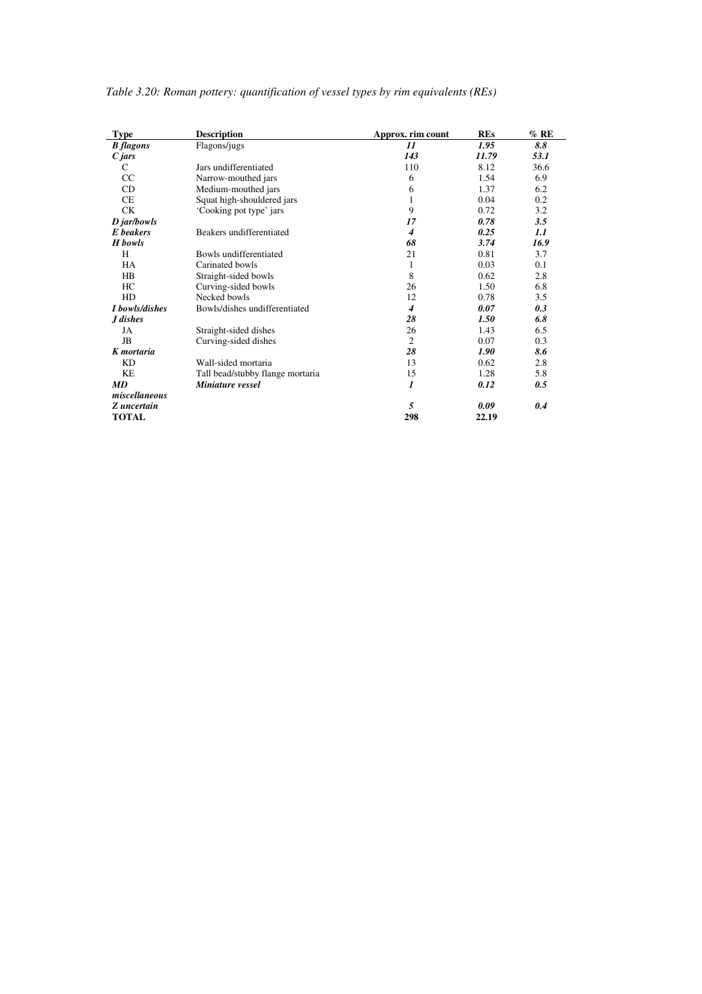| <b>Type</b>      | <b>Description</b>               | Approx. rim count          | <b>REs</b> | $%$ RE |
|------------------|----------------------------------|----------------------------|------------|--------|
| <b>B</b> flagons | Flagons/jugs                     | $\boldsymbol{\mathit{11}}$ | 1.95       | 8.8    |
| $C$ jars         |                                  | 143                        | 11.79      | 53.1   |
| C                | Jars undifferentiated            | 110                        | 8.12       | 36.6   |
| CC               | Narrow-mouthed jars              | 6                          | 1.54       | 6.9    |
| CD               | Medium-mouthed jars              | 6                          | 1.37       | 6.2    |
| CE               | Squat high-shouldered jars       | 1                          | 0.04       | 0.2    |
| CK               | 'Cooking pot type' jars          | 9                          | 0.72       | 3.2    |
| D jar/bowls      |                                  | 17                         | 0.78       | 3.5    |
| <b>E</b> beakers | Beakers undifferentiated         | 4                          | 0.25       | 1.1    |
| H bowls          |                                  | 68                         | 3.74       | 16.9   |
| H                | Bowls undifferentiated           | 21                         | 0.81       | 3.7    |
| HA               | Carinated bowls                  | 1                          | 0.03       | 0.1    |
| HB               | Straight-sided bowls             | 8                          | 0.62       | 2.8    |
| HC               | Curving-sided bowls              | 26                         | 1.50       | 6.8    |
| HD               | Necked bowls                     | 12                         | 0.78       | 3.5    |
| I bowls/dishes   | Bowls/dishes undifferentiated    | 4                          | 0.07       | 0.3    |
| J dishes         |                                  | 28                         | 1.50       | 6.8    |
| JA               | Straight-sided dishes            | 26                         | 1.43       | 6.5    |
| JB               | Curving-sided dishes             | $\overline{c}$             | 0.07       | 0.3    |
| K mortaria       |                                  | 28                         | 1.90       | 8.6    |
| KD               | Wall-sided mortaria              | 13                         | 0.62       | 2.8    |
| KE               | Tall bead/stubby flange mortaria | 15                         | 1.28       | 5.8    |
| <b>MD</b>        | Miniature vessel                 | $\bf{I}$                   | 0.12       | 0.5    |
| miscellaneous    |                                  |                            |            |        |
| Z uncertain      |                                  | 5                          | 0.09       | 0.4    |
| <b>TOTAL</b>     |                                  | 298                        | 22.19      |        |

*Table 3.20: Roman pottery: quantification of vessel types by rim equivalents (REs)*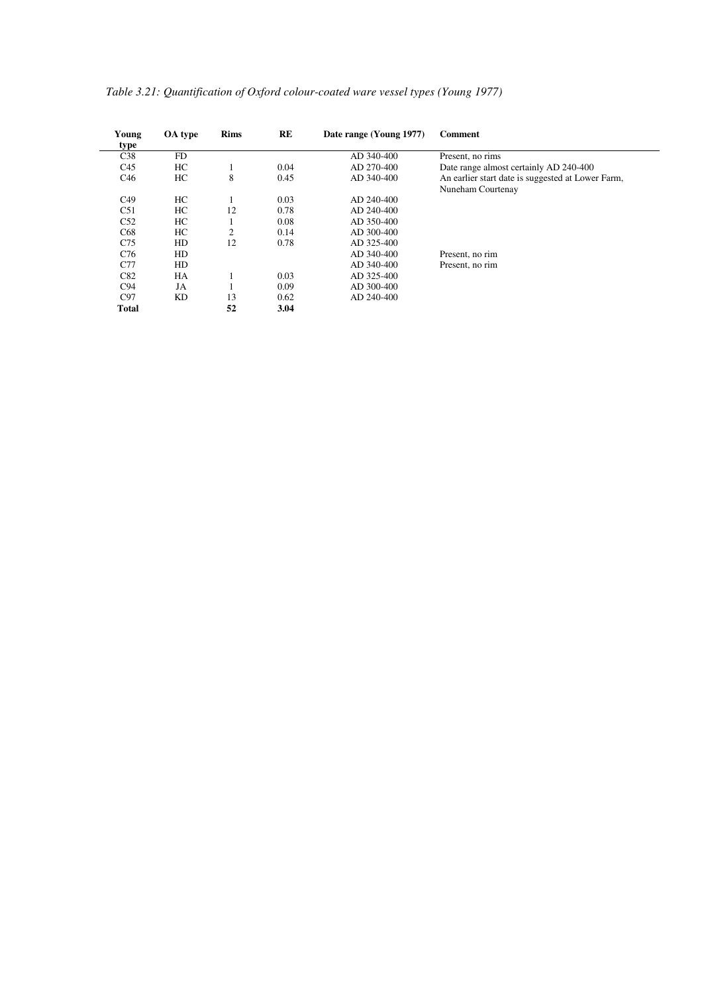| Young<br>type   | OA type | <b>Rims</b> | RE   | Date range (Young 1977) | Comment                                                                |
|-----------------|---------|-------------|------|-------------------------|------------------------------------------------------------------------|
| C38             | FD      |             |      | AD 340-400              | Present, no rims                                                       |
| C <sub>45</sub> | HC      |             | 0.04 | AD 270-400              | Date range almost certainly AD 240-400                                 |
| C <sub>46</sub> | HС      | 8           | 0.45 | AD 340-400              | An earlier start date is suggested at Lower Farm,<br>Nuneham Courtenay |
| C <sub>49</sub> | HC.     |             | 0.03 | AD 240-400              |                                                                        |
| C51             | HC      | 12          | 0.78 | AD 240-400              |                                                                        |
| C52             | HС      | 1           | 0.08 | AD 350-400              |                                                                        |
| C <sub>68</sub> | HС      | 2           | 0.14 | AD 300-400              |                                                                        |
| C75             | HD      | 12          | 0.78 | AD 325-400              |                                                                        |
| C76             | HD      |             |      | AD 340-400              | Present, no rim                                                        |
| C77             | HD      |             |      | AD 340-400              | Present, no rim                                                        |
| C82             | HA      |             | 0.03 | AD 325-400              |                                                                        |
| C94             | JA      |             | 0.09 | AD 300-400              |                                                                        |
| C97             | KD      | 13          | 0.62 | AD 240-400              |                                                                        |
| <b>Total</b>    |         | 52          | 3.04 |                         |                                                                        |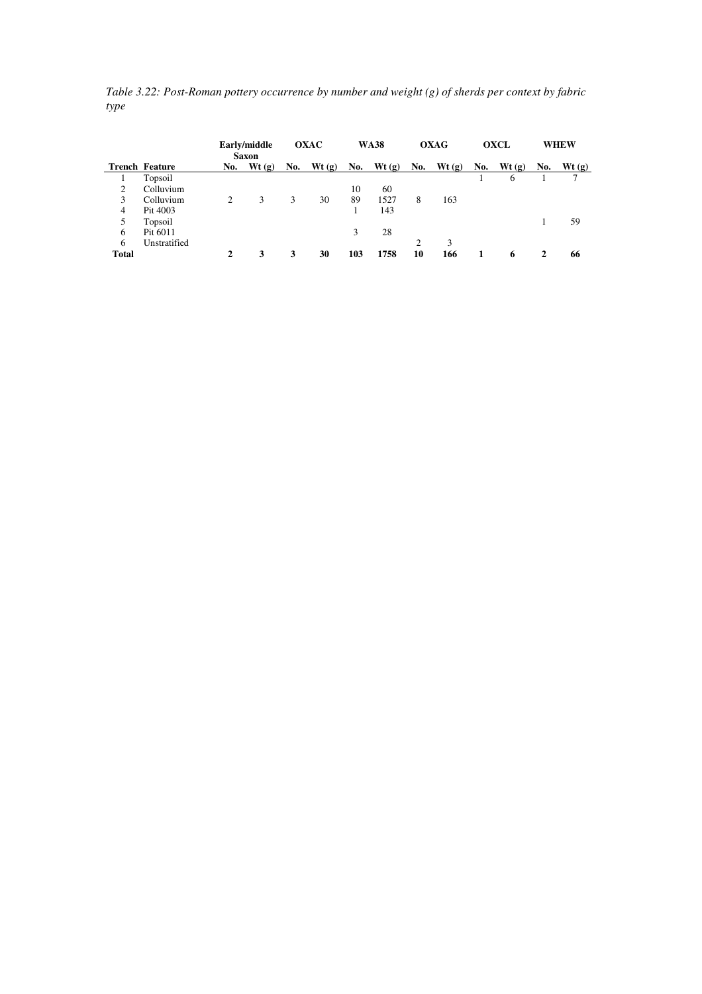*Table 3.22: Post-Roman pottery occurrence by number and weight (g) of sherds per context by fabric type* 

|              |                       |                | Early/middle<br>Saxon |   | OXAC         |     | <b>WA38</b> |                | <b>OXAG</b> |     | <b>OXCL</b> |     | WHEW  |
|--------------|-----------------------|----------------|-----------------------|---|--------------|-----|-------------|----------------|-------------|-----|-------------|-----|-------|
|              | <b>Trench Feature</b> | No.            | Wt(g)                 |   | No. Wt $(g)$ | No. | Wt(g)       | No.            | Wt(g)       | No. | Wt(g)       | No. | Wt(g) |
|              | Topsoil               |                |                       |   |              |     |             |                |             |     | 6           |     |       |
| 2            | Colluvium             |                |                       |   |              | 10  | 60          |                |             |     |             |     |       |
| 3            | Colluvium             | $\mathfrak{D}$ | 3                     | 3 | 30           | 89  | 1527        | 8              | 163         |     |             |     |       |
| 4            | Pit 4003              |                |                       |   |              |     | 143         |                |             |     |             |     |       |
| 5            | Topsoil               |                |                       |   |              |     |             |                |             |     |             |     | 59    |
| 6            | Pit 6011              |                |                       |   |              | 3   | 28          |                |             |     |             |     |       |
| 6            | Unstratified          |                |                       |   |              |     |             | $\overline{c}$ | 3           |     |             |     |       |
| <b>Total</b> |                       | $\mathbf{2}$   | 3                     | 3 | 30           | 103 | 1758        | 10             | 166         |     | 6           | 2   | 66    |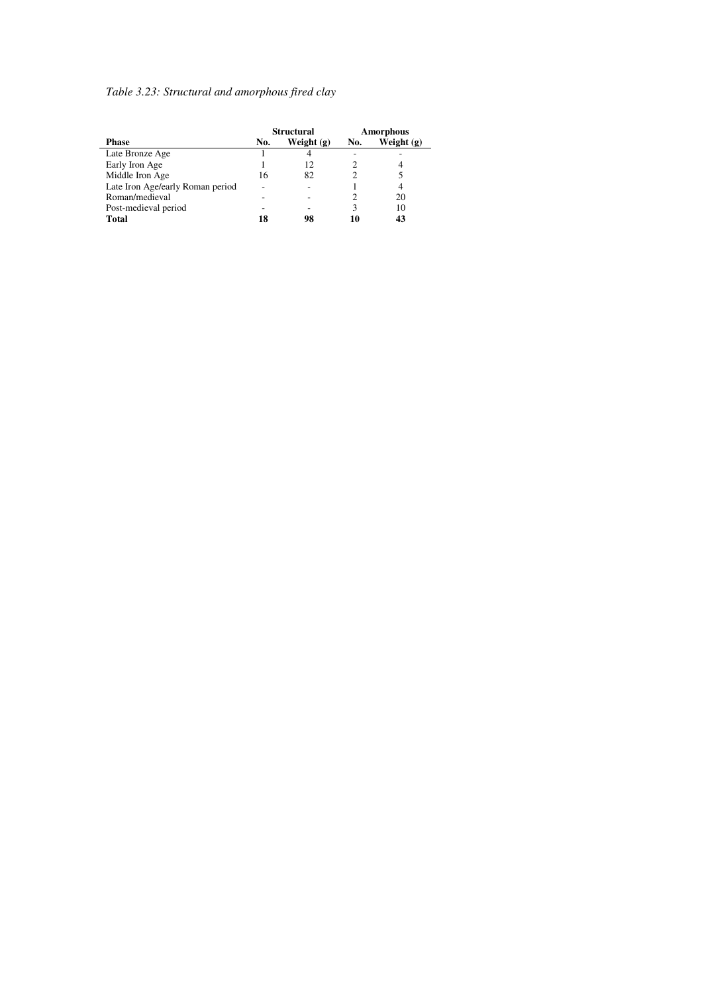### *Table 3.23: Structural and amorphous fired clay*

|                                  |     | <b>Structural</b> | <b>Amorphous</b> |              |  |  |
|----------------------------------|-----|-------------------|------------------|--------------|--|--|
| <b>Phase</b>                     | No. | Weight $(g)$      | No.              | Weight $(g)$ |  |  |
| Late Bronze Age                  |     |                   |                  |              |  |  |
| Early Iron Age                   |     | 12                |                  | 4            |  |  |
| Middle Iron Age                  | 16  | 82                |                  |              |  |  |
| Late Iron Age/early Roman period |     |                   |                  |              |  |  |
| Roman/medieval                   |     |                   |                  | 20           |  |  |
| Post-medieval period             |     |                   | 3                | 10           |  |  |
| <b>Total</b>                     | 18  | 98                | 10               | 43           |  |  |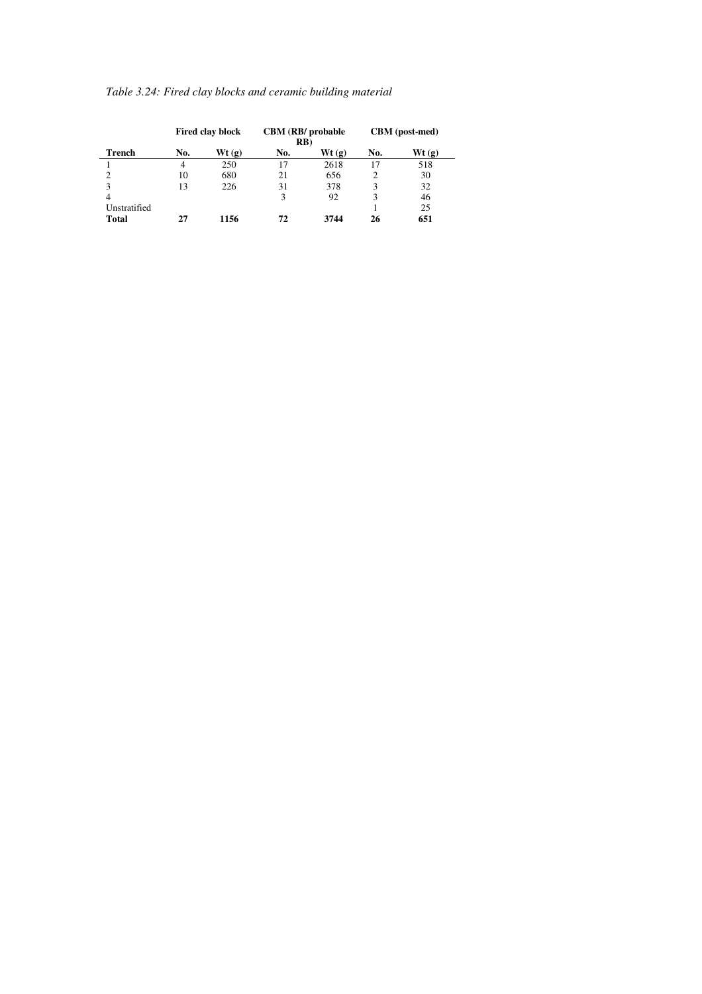|  | Table 3.24: Fired clay blocks and ceramic building material |  |
|--|-------------------------------------------------------------|--|
|  |                                                             |  |

|               |     | <b>Fired clay block</b> | <b>CBM</b> (RB/ probable<br>RB) |       |     | CBM (post-med) |
|---------------|-----|-------------------------|---------------------------------|-------|-----|----------------|
| <b>Trench</b> | No. | Wt(g)                   | No.                             | Wt(g) | No. | Wt(g)          |
|               | 4   | 250                     | 17                              | 2618  | 17  | 518            |
|               | 10  | 680                     | 21                              | 656   | 2   | 30             |
| 3             | 13  | 226                     | 31                              | 378   | 3   | 32             |
| 4             |     |                         | 3                               | 92    |     | 46             |
| Unstratified  |     |                         |                                 |       |     | 25             |
| <b>Total</b>  | 27  | 1156                    | 72                              | 3744  | 26  | 651            |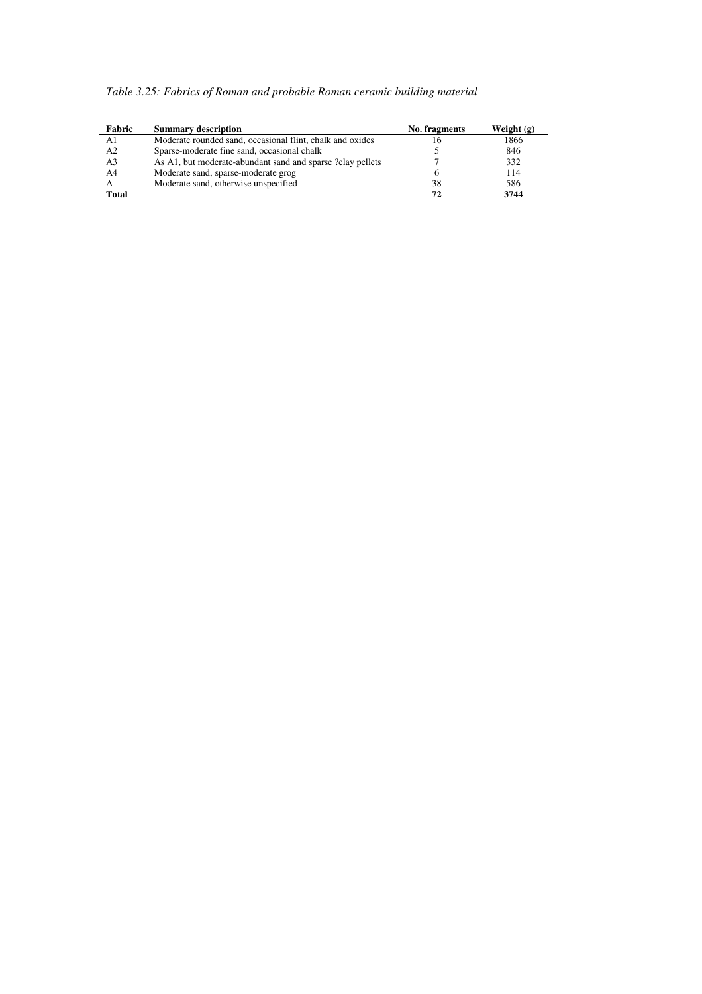| Fabric         | <b>Summary description</b>                                 | No. fragments | Weight $(g)$ |
|----------------|------------------------------------------------------------|---------------|--------------|
| A1             | Moderate rounded sand, occasional flint, chalk and oxides  | 16            | 1866         |
| A <sub>2</sub> | Sparse-moderate fine sand, occasional chalk                |               | 846          |
| A <sub>3</sub> | As A1, but moderate-abundant sand and sparse ?clay pellets |               | 332          |
| A4             | Moderate sand, sparse-moderate grog                        | h.            | 114          |
| А              | Moderate sand, otherwise unspecified                       | 38            | 586          |
| <b>Total</b>   |                                                            | 72            | 3744         |

*Table 3.25: Fabrics of Roman and probable Roman ceramic building material*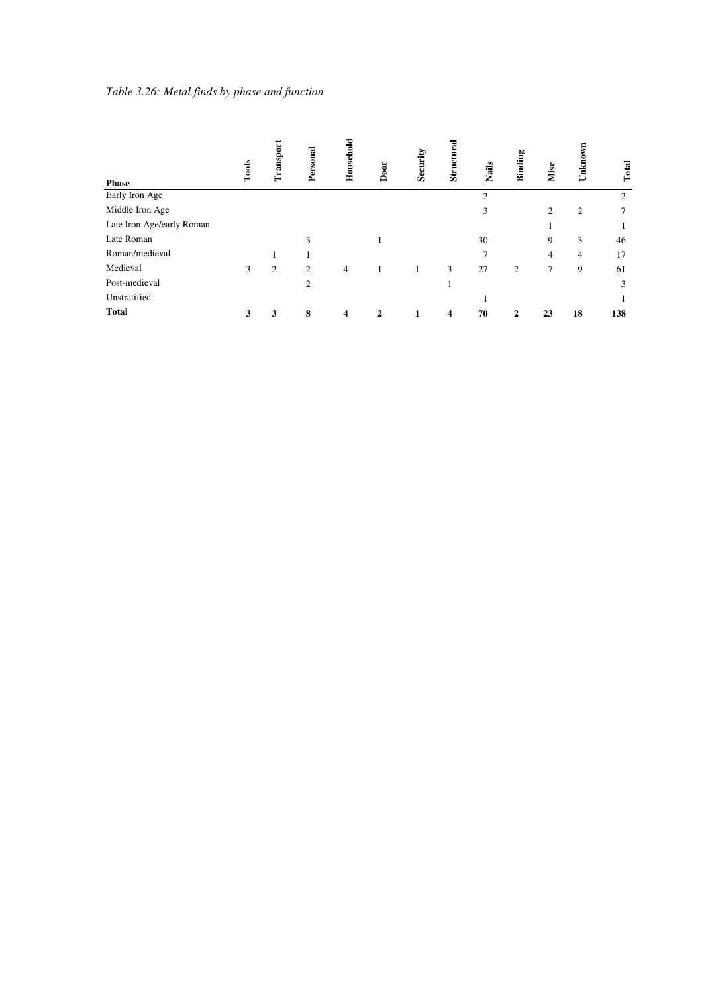| <b>Phase</b>              | Tools | Transport | Personal | Household      | Door         | Security | Structural | Nails          | Binding        | Misc   | Unknown        | Total |
|---------------------------|-------|-----------|----------|----------------|--------------|----------|------------|----------------|----------------|--------|----------------|-------|
| Early Iron Age            |       |           |          |                |              |          |            | $\overline{2}$ |                |        |                | 2     |
| Middle Iron Age           |       |           |          |                |              |          |            | 3              |                | 2      | $\overline{c}$ |       |
| Late Iron Age/early Roman |       |           |          |                |              |          |            |                |                |        |                |       |
| Late Roman                |       |           | 3        |                |              |          |            | 30             |                | 9      | 3              | 46    |
| Roman/medieval            |       |           |          |                |              |          |            | $\mathcal{I}$  |                | 4      | $\overline{4}$ | 17    |
| Medieval                  | 3     | 2         | 2        | $\overline{4}$ |              | 1        | 3          | 27             | $\overline{2}$ | $\tau$ | 9              | 61    |
| Post-medieval             |       |           | 2        |                |              |          |            |                |                |        |                | 3     |
| Unstratified              |       |           |          |                |              |          |            |                |                |        |                |       |
| <b>Total</b>              | 3     | 3         | 8        | 4              | $\mathbf{2}$ | 1        | 4          | 70             | $\mathbf{2}$   | 23     | 18             | 138   |